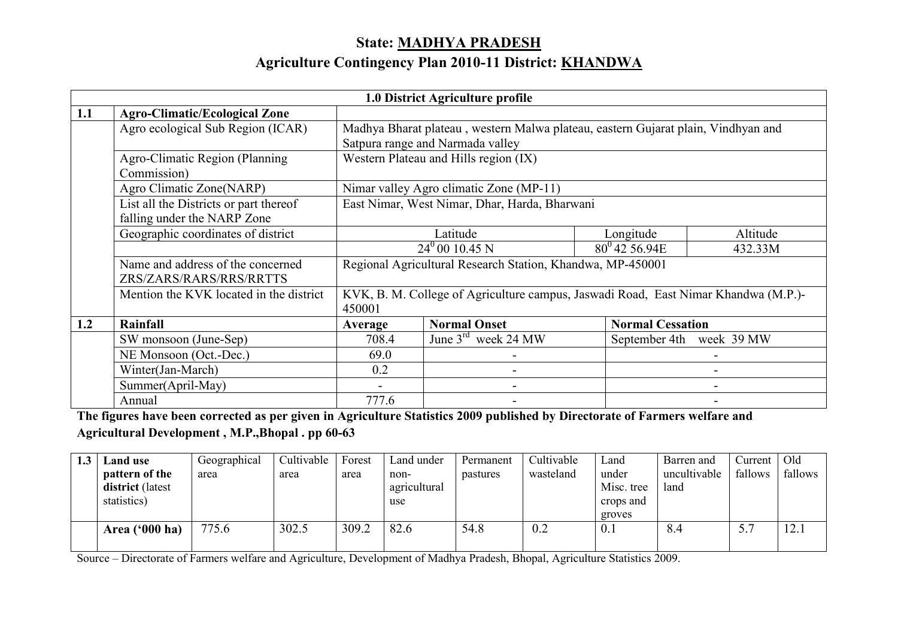# State: MADHYA PRADESH

## Agriculture Contingency Plan 2010-11 District: <u>KHANDWA</u>

|     |                                         |                                               | 1.0 District Agriculture profile                                                   |                         |                          |  |  |  |
|-----|-----------------------------------------|-----------------------------------------------|------------------------------------------------------------------------------------|-------------------------|--------------------------|--|--|--|
| 1.1 | <b>Agro-Climatic/Ecological Zone</b>    |                                               |                                                                                    |                         |                          |  |  |  |
|     | Agro ecological Sub Region (ICAR)       |                                               | Madhya Bharat plateau, western Malwa plateau, eastern Gujarat plain, Vindhyan and  |                         |                          |  |  |  |
|     |                                         |                                               | Satpura range and Narmada valley                                                   |                         |                          |  |  |  |
|     | Agro-Climatic Region (Planning          | Western Plateau and Hills region (IX)         |                                                                                    |                         |                          |  |  |  |
|     | Commission)                             |                                               |                                                                                    |                         |                          |  |  |  |
|     | Agro Climatic Zone(NARP)                | Nimar valley Agro climatic Zone (MP-11)       |                                                                                    |                         |                          |  |  |  |
|     | List all the Districts or part thereof  | East Nimar, West Nimar, Dhar, Harda, Bharwani |                                                                                    |                         |                          |  |  |  |
|     | falling under the NARP Zone             |                                               |                                                                                    |                         |                          |  |  |  |
|     | Geographic coordinates of district      |                                               | Latitude                                                                           | Longitude               | Altitude                 |  |  |  |
|     |                                         |                                               | $24^0 00 10.45 N$                                                                  | $80^0$ 42 56.94E        | 432.33M                  |  |  |  |
|     | Name and address of the concerned       |                                               | Regional Agricultural Research Station, Khandwa, MP-450001                         |                         |                          |  |  |  |
|     | ZRS/ZARS/RARS/RRS/RRTTS                 |                                               |                                                                                    |                         |                          |  |  |  |
|     | Mention the KVK located in the district |                                               | KVK, B. M. College of Agriculture campus, Jaswadi Road, East Nimar Khandwa (M.P.)- |                         |                          |  |  |  |
|     |                                         | 450001                                        |                                                                                    |                         |                          |  |  |  |
| 1.2 | Rainfall                                | Average                                       | <b>Normal Onset</b>                                                                | <b>Normal Cessation</b> |                          |  |  |  |
|     | SW monsoon (June-Sep)                   | 708.4                                         | $\overline{\text{June}}$ 3 <sup>rd</sup> week 24 MW                                |                         | September 4th week 39 MW |  |  |  |
|     | NE Monsoon (Oct.-Dec.)                  | 69.0                                          |                                                                                    |                         |                          |  |  |  |
|     | Winter(Jan-March)                       | 0.2                                           |                                                                                    |                         |                          |  |  |  |
|     | Summer(April-May)                       |                                               |                                                                                    |                         |                          |  |  |  |
|     | Annual                                  | 777.6                                         |                                                                                    |                         |                          |  |  |  |

 The figures have been corrected as per given in Agriculture Statistics 2009 published by Directorate of Farmers welfare and Agricultural Development , M.P.,Bhopal . pp 60-63

| 1.3 | <b>Land</b> use                                   | Geographical | Cultivable | Forest | Land under                  | Permanent | Cultivable | ∟and                                       | Barren and           | Current | Old     |
|-----|---------------------------------------------------|--------------|------------|--------|-----------------------------|-----------|------------|--------------------------------------------|----------------------|---------|---------|
|     | pattern of the<br>district (latest<br>statistics) | area         | area       | area   | non-<br>agricultural<br>use | pastures  | wasteland  | under<br>Misc. tree<br>crops and<br>groves | uncultivable<br>land | fallows | fallows |
|     | Area $(900)$ ha)                                  | 775.6        | 302.5      | 309.2  | 82.6                        | 54.8      | 0.2        | 0.1                                        | 8.4                  |         | 12.1    |

Source – Directorate of Farmers welfare and Agriculture, Development of Madhya Pradesh, Bhopal, Agriculture Statistics 2009.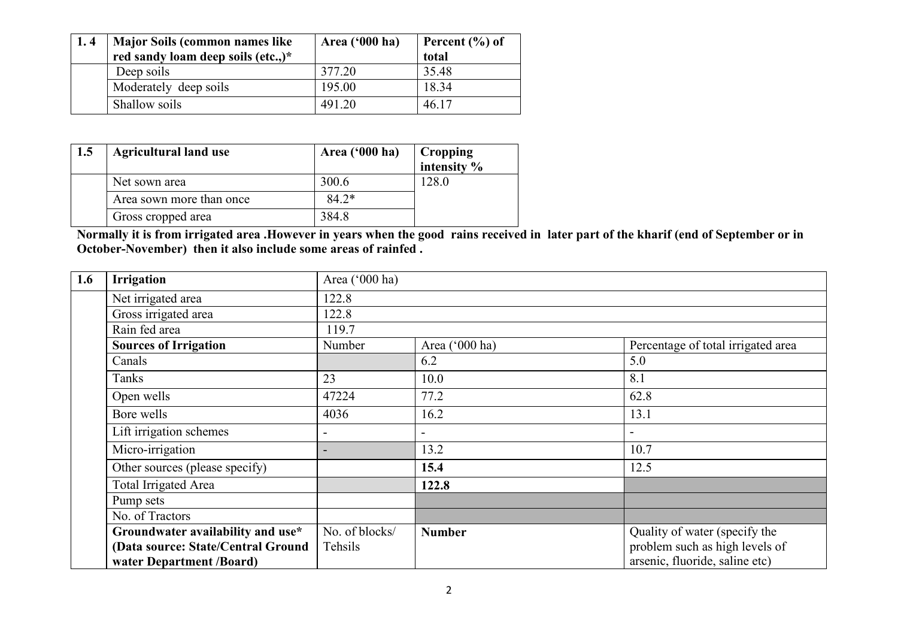| 1.4 | <b>Major Soils (common names like)</b> | Area ('000 ha) | Percent $(\% )$ of |
|-----|----------------------------------------|----------------|--------------------|
|     | red sandy loam deep soils (etc.,)*     |                | total              |
|     | Deep soils                             | 377.20         | 35.48              |
|     | Moderately deep soils                  | 195.00         | 18.34              |
|     | Shallow soils                          | 491.20         | 46.17              |

| 1.5 | <b>Agricultural land use</b> | Area ('000 ha) | Cropping<br>intensity <sup>%</sup> |
|-----|------------------------------|----------------|------------------------------------|
|     | Net sown area                | 300.6          | 128.0                              |
|     | Area sown more than once     | $84.2*$        |                                    |
|     | Gross cropped area           | 384.8          |                                    |

Normally it is from irrigated area .However in years when the good rains received in later part of the kharif (end of September or in October-November) then it also include some areas of rainfed .

| 1.6 | <b>Irrigation</b>                  | Area ('000 ha)           |                |                                    |  |  |  |  |  |
|-----|------------------------------------|--------------------------|----------------|------------------------------------|--|--|--|--|--|
|     | Net irrigated area                 | 122.8                    |                |                                    |  |  |  |  |  |
|     | Gross irrigated area               | 122.8                    |                |                                    |  |  |  |  |  |
|     | Rain fed area                      | 119.7                    |                |                                    |  |  |  |  |  |
|     | <b>Sources of Irrigation</b>       | Number                   | Area ('000 ha) | Percentage of total irrigated area |  |  |  |  |  |
|     | Canals                             |                          | 6.2            | 5.0                                |  |  |  |  |  |
|     | Tanks                              | 23                       | 10.0           | 8.1                                |  |  |  |  |  |
|     | Open wells                         | 47224                    | 77.2           | 62.8                               |  |  |  |  |  |
|     | Bore wells                         | 4036                     | 16.2           | 13.1                               |  |  |  |  |  |
|     | Lift irrigation schemes            | $\overline{\phantom{a}}$ |                | $\overline{\phantom{a}}$           |  |  |  |  |  |
|     | Micro-irrigation                   |                          | 13.2           | 10.7                               |  |  |  |  |  |
|     | Other sources (please specify)     |                          | 15.4           | 12.5                               |  |  |  |  |  |
|     | Total Irrigated Area               |                          | 122.8          |                                    |  |  |  |  |  |
|     | Pump sets                          |                          |                |                                    |  |  |  |  |  |
|     | No. of Tractors                    |                          |                |                                    |  |  |  |  |  |
|     | Groundwater availability and use*  | No. of blocks/           | <b>Number</b>  | Quality of water (specify the      |  |  |  |  |  |
|     | (Data source: State/Central Ground | Tehsils                  |                | problem such as high levels of     |  |  |  |  |  |
|     | water Department /Board)           |                          |                | arsenic, fluoride, saline etc)     |  |  |  |  |  |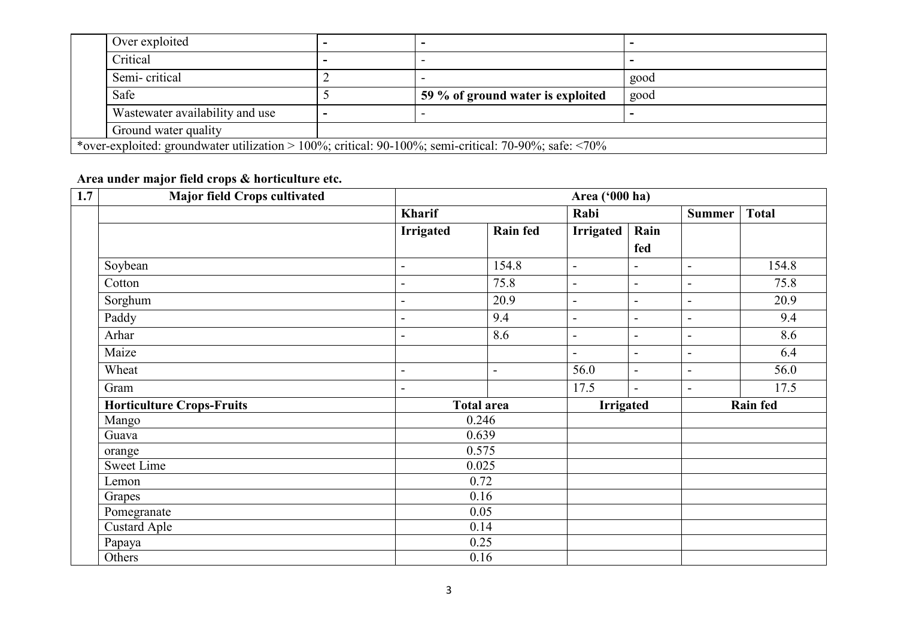| Over exploited                                                                                                  |                                   |      |
|-----------------------------------------------------------------------------------------------------------------|-----------------------------------|------|
| Critical                                                                                                        |                                   |      |
| Semi-critical                                                                                                   |                                   | good |
| Safe                                                                                                            | 59 % of ground water is exploited | good |
| Wastewater availability and use                                                                                 |                                   |      |
| Ground water quality                                                                                            |                                   |      |
| *over-exploited: groundwater utilization > 100%; critical: 90-100%; semi-critical: 70-90%; safe: $\langle 70\%$ |                                   |      |

#### Area under major field crops & horticulture etc.

| 1.7 | <b>Major field Crops cultivated</b> |                          | Area ('000 ha)    |                          |                          |                |                 |  |
|-----|-------------------------------------|--------------------------|-------------------|--------------------------|--------------------------|----------------|-----------------|--|
|     |                                     | <b>Kharif</b>            |                   | Rabi                     |                          | <b>Summer</b>  | <b>Total</b>    |  |
|     |                                     | <b>Irrigated</b>         | <b>Rain fed</b>   | Irrigated                | Rain                     |                |                 |  |
|     |                                     |                          |                   |                          | fed                      |                |                 |  |
|     | Soybean                             | $\overline{\phantom{a}}$ | 154.8             | $\blacksquare$           | $\blacksquare$           | $\blacksquare$ | 154.8           |  |
|     | Cotton                              | -                        | 75.8              | $\blacksquare$           | $\overline{\phantom{a}}$ | $\blacksquare$ | 75.8            |  |
|     | Sorghum                             | $\blacksquare$           | 20.9              | $\blacksquare$           | $\overline{\phantom{a}}$ | $\blacksquare$ | 20.9            |  |
|     | Paddy                               | -                        | 9.4               | $\blacksquare$           | $\overline{\phantom{a}}$ | $\blacksquare$ | 9.4             |  |
|     | Arhar                               | ۰                        | 8.6               | $\overline{\phantom{a}}$ | $\overline{\phantom{a}}$ | $\blacksquare$ | 8.6             |  |
|     | Maize                               |                          |                   | $\blacksquare$           | $\overline{\phantom{a}}$ | $\blacksquare$ | 6.4             |  |
|     | Wheat                               | $\blacksquare$           | $\blacksquare$    | 56.0                     | $\blacksquare$           | $\blacksquare$ | 56.0            |  |
|     | Gram                                | $\blacksquare$           |                   | 17.5                     | $\overline{\phantom{a}}$ | $\overline{a}$ | 17.5            |  |
|     | <b>Horticulture Crops-Fruits</b>    |                          | <b>Total area</b> | <b>Irrigated</b>         |                          |                | <b>Rain fed</b> |  |
|     | Mango                               |                          | 0.246             |                          |                          |                |                 |  |
|     | Guava                               |                          | 0.639             |                          |                          |                |                 |  |
|     | orange                              |                          | 0.575             |                          |                          |                |                 |  |
|     | <b>Sweet Lime</b>                   |                          | 0.025             |                          |                          |                |                 |  |
|     | Lemon                               |                          | 0.72              |                          |                          |                |                 |  |
|     | Grapes                              |                          | 0.16              |                          |                          |                |                 |  |
|     | Pomegranate                         |                          | 0.05              |                          |                          |                |                 |  |
|     | <b>Custard Aple</b>                 |                          | 0.14              |                          |                          |                |                 |  |
|     | Papaya                              |                          | 0.25              |                          |                          |                |                 |  |
|     | Others                              |                          | 0.16              |                          |                          |                |                 |  |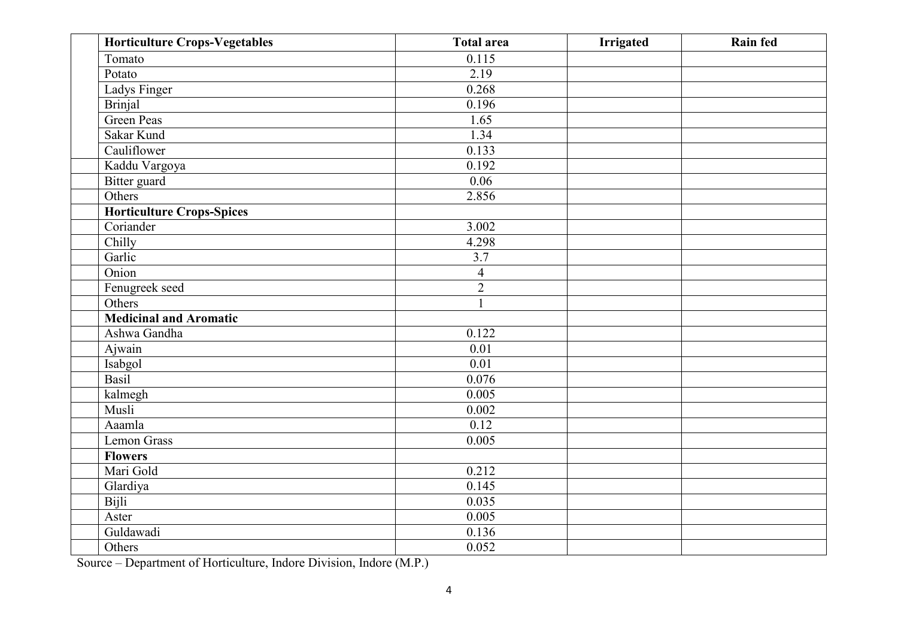| <b>Horticulture Crops-Vegetables</b> | <b>Total area</b> | <b>Irrigated</b> | Rain fed |
|--------------------------------------|-------------------|------------------|----------|
| Tomato                               | 0.115             |                  |          |
| Potato                               | 2.19              |                  |          |
| Ladys Finger                         | 0.268             |                  |          |
| <b>Brinjal</b>                       | 0.196             |                  |          |
| Green Peas                           | 1.65              |                  |          |
| Sakar Kund                           | 1.34              |                  |          |
| Cauliflower                          | 0.133             |                  |          |
| Kaddu Vargoya                        | 0.192             |                  |          |
| <b>Bitter</b> guard                  | 0.06              |                  |          |
| Others                               | 2.856             |                  |          |
| Horticulture Crops-Spices            |                   |                  |          |
| Coriander                            | 3.002             |                  |          |
| Chilly                               | 4.298             |                  |          |
| Garlic                               | 3.7               |                  |          |
| Onion                                | $\overline{4}$    |                  |          |
| Fenugreek seed                       | $\overline{2}$    |                  |          |
| Others                               | $\mathbf{1}$      |                  |          |
| <b>Medicinal and Aromatic</b>        |                   |                  |          |
| Ashwa Gandha                         | 0.122             |                  |          |
| Ajwain                               | 0.01              |                  |          |
| Isabgol                              | 0.01              |                  |          |
| Basil                                | 0.076             |                  |          |
| kalmegh                              | 0.005             |                  |          |
| Musli                                | 0.002             |                  |          |
| Aaamla                               | 0.12              |                  |          |
| <b>Lemon Grass</b>                   | 0.005             |                  |          |
| <b>Flowers</b>                       |                   |                  |          |
| Mari Gold                            | 0.212             |                  |          |
| Glardiya                             | 0.145             |                  |          |
| Bijli                                | 0.035             |                  |          |
| Aster                                | 0.005             |                  |          |
| Guldawadi                            | 0.136             |                  |          |
| Others                               | 0.052             |                  |          |

Source – Department of Horticulture, Indore Division, Indore (M.P.)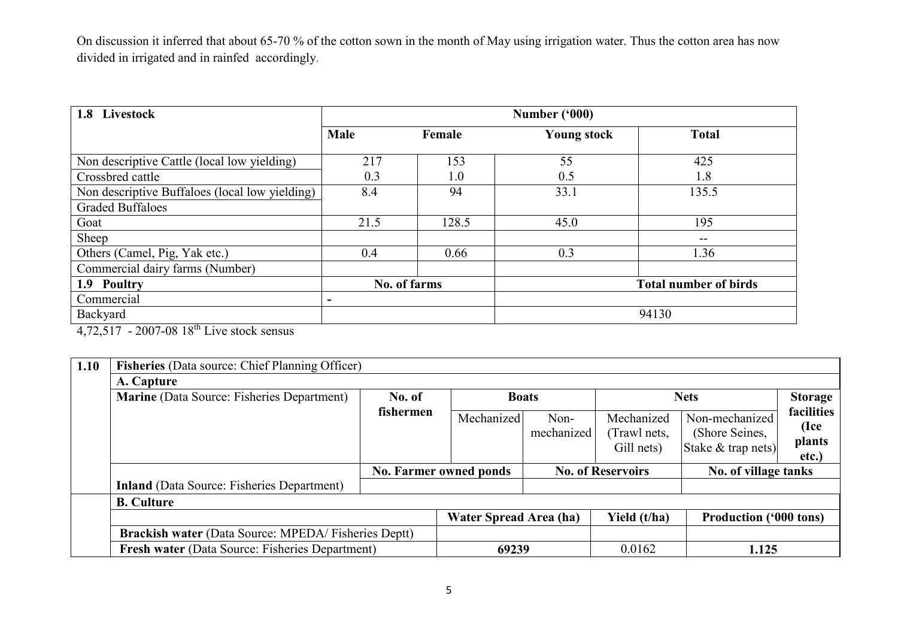On discussion it inferred that about 65-70 % of the cotton sown in the month of May using irrigation water. Thus the cotton area has now divided in irrigated and in rainfed accordingly.

| 1.8 Livestock                                  |                          |              | Number ('000)      |                              |
|------------------------------------------------|--------------------------|--------------|--------------------|------------------------------|
|                                                | Male                     | Female       | <b>Young stock</b> | <b>Total</b>                 |
| Non descriptive Cattle (local low yielding)    | 217                      | 153          | 55                 | 425                          |
| Crossbred cattle                               | 0.3                      | 1.0          | 0.5                | 1.8                          |
| Non descriptive Buffaloes (local low yielding) | 8.4                      | 94           | 33.1               | 135.5                        |
| <b>Graded Buffaloes</b>                        |                          |              |                    |                              |
| Goat                                           | 21.5                     | 128.5        | 45.0               | 195                          |
| Sheep                                          |                          |              |                    | $- -$                        |
| Others (Camel, Pig, Yak etc.)                  | 0.4                      | 0.66         | 0.3                | 1.36                         |
| Commercial dairy farms (Number)                |                          |              |                    |                              |
| 1.9 Poultry                                    |                          | No. of farms |                    | <b>Total number of birds</b> |
| Commercial                                     | $\overline{\phantom{a}}$ |              |                    |                              |
| Backyard                                       |                          |              |                    | 94130                        |

4,72,517 - 2007-08 18<sup>th</sup> Live stock sensus

| 1.10 | Fisheries (Data source: Chief Planning Officer)            |           |                               |              |                            |                                      |                    |
|------|------------------------------------------------------------|-----------|-------------------------------|--------------|----------------------------|--------------------------------------|--------------------|
|      | A. Capture                                                 |           |                               |              |                            |                                      |                    |
|      | <b>Marine</b> (Data Source: Fisheries Department)          | No. of    |                               | <b>Boats</b> |                            | <b>Nets</b>                          | <b>Storage</b>     |
|      |                                                            | fishermen | Mechanized                    | Non-         | Mechanized                 | Non-mechanized                       | facilities<br>(Ice |
|      |                                                            |           |                               | mechanized   | (Trawl nets,<br>Gill nets) | (Shore Seines,<br>Stake & trap nets) | plants             |
|      |                                                            |           | <b>No. Farmer owned ponds</b> |              | <b>No. of Reservoirs</b>   | etc.)<br>No. of village tanks        |                    |
|      | <b>Inland</b> (Data Source: Fisheries Department)          |           |                               |              |                            |                                      |                    |
|      | <b>B.</b> Culture                                          |           |                               |              |                            |                                      |                    |
|      |                                                            |           | <b>Water Spread Area (ha)</b> |              | Yield (t/ha)               | <b>Production ('000 tons)</b>        |                    |
|      | <b>Brackish water (Data Source: MPEDA/Fisheries Deptt)</b> |           |                               |              |                            |                                      |                    |
|      | Fresh water (Data Source: Fisheries Department)            |           | 69239                         |              | 0.0162                     | 1.125                                |                    |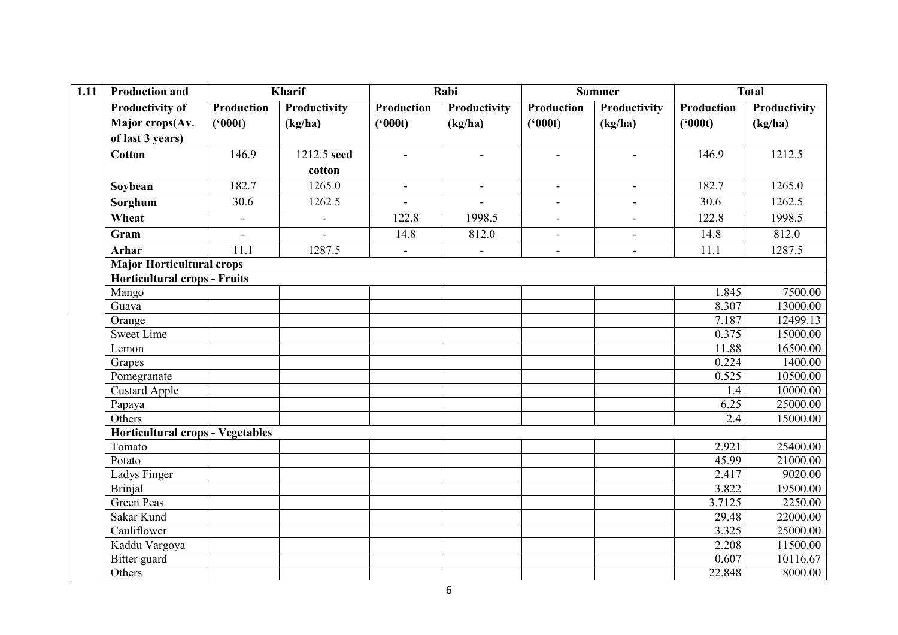| 1.11 | <b>Production and</b>                   |                   | <b>Kharif</b>  |                | Rabi           |                   | <b>Summer</b>  |                   | <b>Total</b> |
|------|-----------------------------------------|-------------------|----------------|----------------|----------------|-------------------|----------------|-------------------|--------------|
|      | <b>Productivity of</b>                  | <b>Production</b> | Productivity   | Production     | Productivity   | <b>Production</b> | Productivity   | <b>Production</b> | Productivity |
|      | Major crops(Av.                         | (900t)            | (kg/ha)        | (900t)         | (kg/ha)        | (900t)            | (kg/ha)        | (900t)            | (kg/ha)      |
|      | of last 3 years)                        |                   |                |                |                |                   |                |                   |              |
|      | <b>Cotton</b>                           | 146.9             | 1212.5 seed    | $\mathbf{r}$   | $\blacksquare$ | $\blacksquare$    | $\blacksquare$ | 146.9             | 1212.5       |
|      |                                         |                   | cotton         |                |                |                   |                |                   |              |
|      | Soybean                                 | 182.7             | 1265.0         | $\blacksquare$ | $\blacksquare$ | $\blacksquare$    | $\blacksquare$ | 182.7             | 1265.0       |
|      | Sorghum                                 | 30.6              | 1262.5         | $\blacksquare$ | $\blacksquare$ | $\sim$            | $\blacksquare$ | 30.6              | 1262.5       |
|      | Wheat                                   | $\blacksquare$    | $\blacksquare$ | 122.8          | 1998.5         | $\blacksquare$    | $\blacksquare$ | 122.8             | 1998.5       |
|      | Gram                                    | $\sim$            | $\sim$         | 14.8           | 812.0          | $\blacksquare$    | $\blacksquare$ | 14.8              | 812.0        |
|      | <b>Arhar</b>                            | 11.1              | 1287.5         | $\blacksquare$ | $\blacksquare$ | $\blacksquare$    | $\blacksquare$ | 11.1              | 1287.5       |
|      | <b>Major Horticultural crops</b>        |                   |                |                |                |                   |                |                   |              |
|      | <b>Horticultural crops - Fruits</b>     |                   |                |                |                |                   |                |                   |              |
|      | Mango                                   |                   |                |                |                |                   |                | 1.845             | 7500.00      |
|      | Guava                                   |                   |                |                |                |                   |                | 8.307             | 13000.00     |
|      | Orange                                  |                   |                |                |                |                   |                | 7.187             | 12499.13     |
|      | <b>Sweet Lime</b>                       |                   |                |                |                |                   |                | 0.375             | 15000.00     |
|      | Lemon                                   |                   |                |                |                |                   |                | 11.88             | 16500.00     |
|      | Grapes                                  |                   |                |                |                |                   |                | 0.224             | 1400.00      |
|      | Pomegranate                             |                   |                |                |                |                   |                | 0.525             | 10500.00     |
|      | Custard Apple                           |                   |                |                |                |                   |                | 1.4               | 10000.00     |
|      | Papaya                                  |                   |                |                |                |                   |                | 6.25              | 25000.00     |
|      | Others                                  |                   |                |                |                |                   |                | 2.4               | 15000.00     |
|      | <b>Horticultural crops - Vegetables</b> |                   |                |                |                |                   |                |                   |              |
|      | Tomato                                  |                   |                |                |                |                   |                | 2.921             | 25400.00     |
|      | Potato                                  |                   |                |                |                |                   |                | 45.99             | 21000.00     |
|      | Ladys Finger                            |                   |                |                |                |                   |                | 2.417             | 9020.00      |
|      | <b>Brinjal</b>                          |                   |                |                |                |                   |                | 3.822             | 19500.00     |
|      | <b>Green Peas</b>                       |                   |                |                |                |                   |                | 3.7125            | 2250.00      |
|      | Sakar Kund                              |                   |                |                |                |                   |                | 29.48             | 22000.00     |
|      | Cauliflower                             |                   |                |                |                |                   |                | 3.325             | 25000.00     |
|      | Kaddu Vargoya                           |                   |                |                |                |                   |                | 2.208             | 11500.00     |
|      | Bitter guard                            |                   |                |                |                |                   |                | 0.607             | 10116.67     |
|      | Others                                  |                   |                |                |                |                   |                | 22.848            | 8000.00      |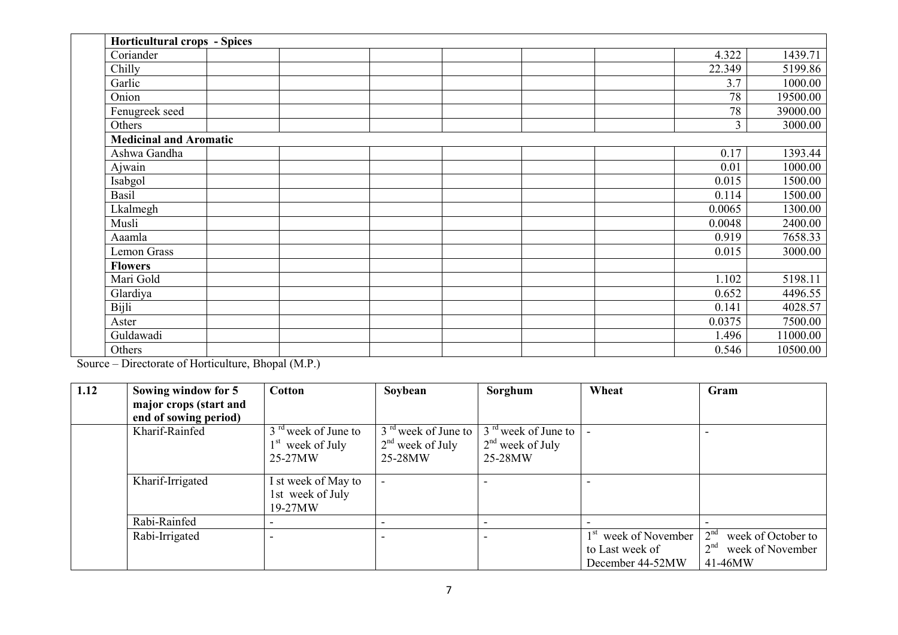| <b>Horticultural crops - Spices</b> |  |  |        |          |
|-------------------------------------|--|--|--------|----------|
| Coriander                           |  |  | 4.322  | 1439.71  |
| Chilly                              |  |  | 22.349 | 5199.86  |
| Garlic                              |  |  | 3.7    | 1000.00  |
| Onion                               |  |  | 78     | 19500.00 |
| Fenugreek seed                      |  |  | 78     | 39000.00 |
| Others                              |  |  | 3      | 3000.00  |
| <b>Medicinal and Aromatic</b>       |  |  |        |          |
| Ashwa Gandha                        |  |  | 0.17   | 1393.44  |
| Ajwain                              |  |  | 0.01   | 1000.00  |
| Isabgol                             |  |  | 0.015  | 1500.00  |
| Basil                               |  |  | 0.114  | 1500.00  |
| Lkalmegh                            |  |  | 0.0065 | 1300.00  |
| Musli                               |  |  | 0.0048 | 2400.00  |
| Aaamla                              |  |  | 0.919  | 7658.33  |
| <b>Lemon Grass</b>                  |  |  | 0.015  | 3000.00  |
| <b>Flowers</b>                      |  |  |        |          |
| Mari Gold                           |  |  | 1.102  | 5198.11  |
| Glardiya                            |  |  | 0.652  | 4496.55  |
| Bijli                               |  |  | 0.141  | 4028.57  |
| Aster                               |  |  | 0.0375 | 7500.00  |
| Guldawadi                           |  |  | 1.496  | 11000.00 |
| Others                              |  |  | 0.546  | 10500.00 |

Source – Directorate of Horticulture, Bhopal (M.P.)

| 1.12 | Sowing window for 5    | <b>Cotton</b>         | Soybean               | Sorghum               | Wheat                            | Gram                                  |
|------|------------------------|-----------------------|-----------------------|-----------------------|----------------------------------|---------------------------------------|
|      | major crops (start and |                       |                       |                       |                                  |                                       |
|      | end of sowing period)  |                       |                       |                       |                                  |                                       |
|      | Kharif-Rainfed         | $3rd$ week of June to | $3rd$ week of June to | $3rd$ week of June to |                                  |                                       |
|      |                        | $1st$ week of July    | $2nd$ week of July    | $2nd$ week of July    |                                  |                                       |
|      |                        | 25-27MW               | 25-28MW               | 25-28MW               |                                  |                                       |
|      | Kharif-Irrigated       | I st week of May to   |                       |                       |                                  |                                       |
|      |                        | 1st week of July      |                       |                       |                                  |                                       |
|      |                        | $19-27MW$             |                       |                       |                                  |                                       |
|      | Rabi-Rainfed           |                       |                       |                       |                                  |                                       |
|      | Rabi-Irrigated         |                       |                       |                       | 1 <sup>st</sup> week of November | 2 <sup>nd</sup><br>week of October to |
|      |                        |                       |                       |                       | to Last week of                  | 2 <sup>nd</sup><br>week of November   |
|      |                        |                       |                       |                       | December 44-52MW                 | 41-46MW                               |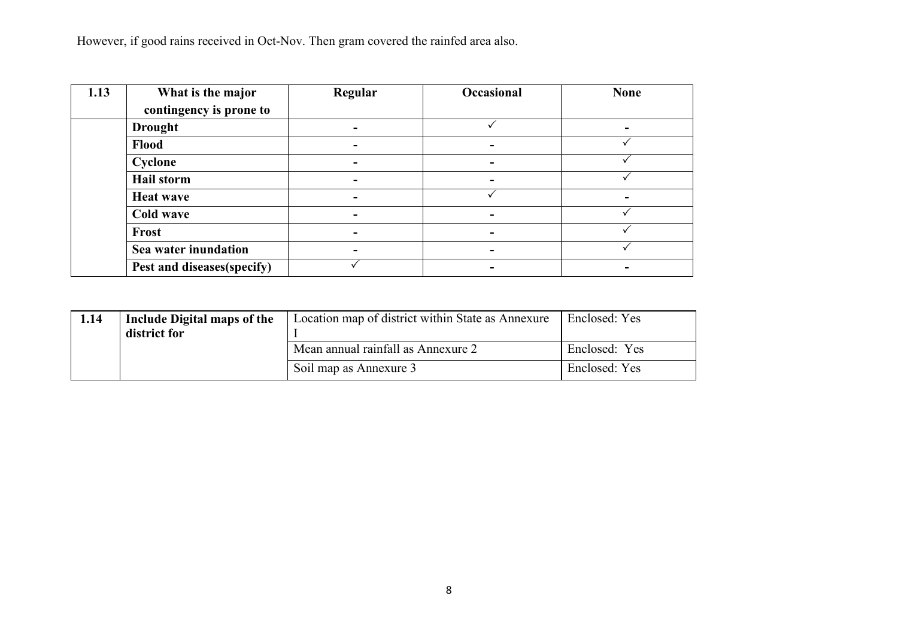However, if good rains received in Oct-Nov. Then gram covered the rainfed area also.

| 1.13 | What is the major          | Regular                  | Occasional | <b>None</b> |
|------|----------------------------|--------------------------|------------|-------------|
|      | contingency is prone to    |                          |            |             |
|      | <b>Drought</b>             | $\overline{\phantom{a}}$ |            |             |
|      | Flood                      | $\overline{\phantom{a}}$ |            |             |
|      | Cyclone                    | $\overline{\phantom{a}}$ | -          |             |
|      | <b>Hail storm</b>          | ۰                        |            |             |
|      | <b>Heat wave</b>           | -                        |            |             |
|      | Cold wave                  | $\overline{\phantom{a}}$ |            |             |
|      | Frost                      | $\overline{\phantom{a}}$ |            |             |
|      | Sea water inundation       | $\overline{\phantom{a}}$ |            |             |
|      | Pest and diseases(specify) |                          |            |             |

| 1.14 | Include Digital maps of the<br>district for | Location map of district within State as Annexure | Enclosed: Yes |
|------|---------------------------------------------|---------------------------------------------------|---------------|
|      |                                             | Mean annual rainfall as Annexure 2                | Enclosed: Yes |
|      |                                             | Soil map as Annexure 3                            | Enclosed: Yes |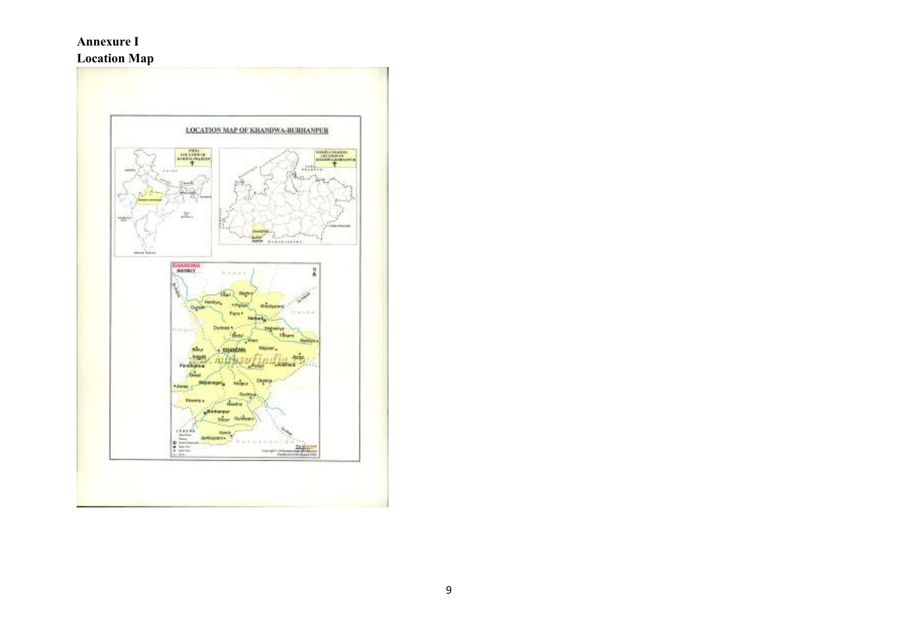### Annexure I

## Location Map

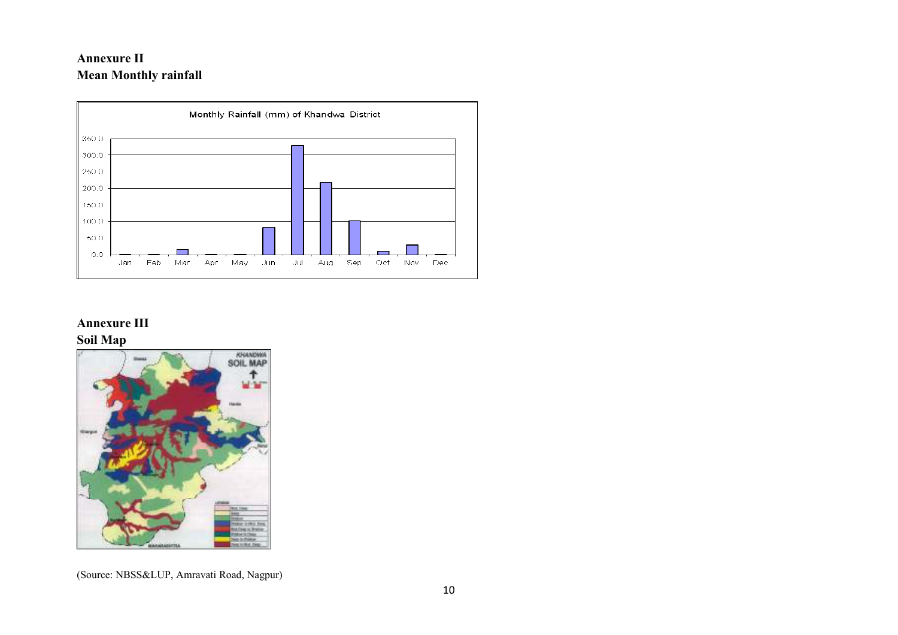## Annexure II Mean Monthly rainfall



## Annexure III Soil Map



(Source: NBSS&LUP, Amravati Road, Nagpur)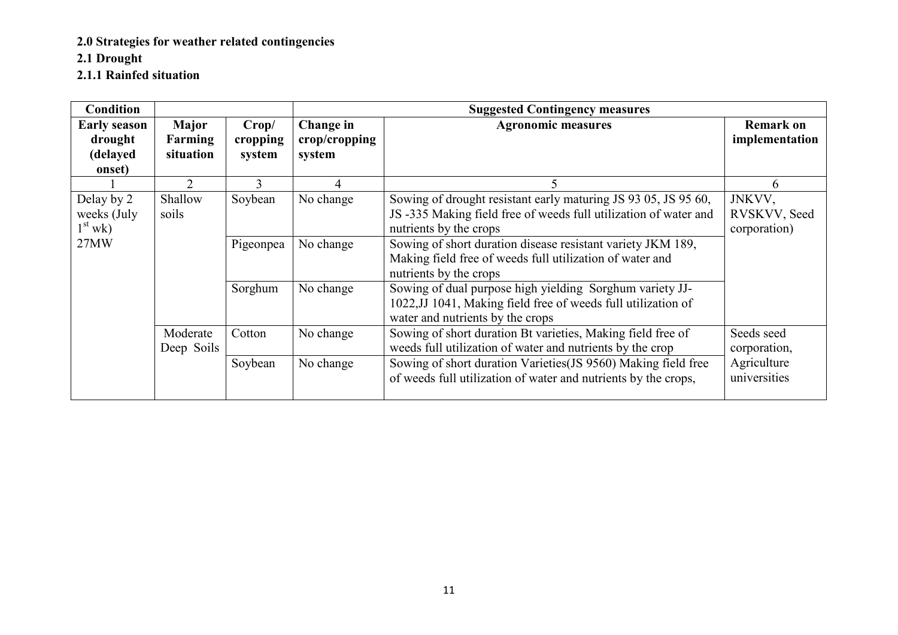2.0 Strategies for weather related contingencies

2.1 Drought

2.1.1 Rainfed situation

| <b>Condition</b>                       |                        |                   |                            | <b>Suggested Contingency measures</b>                                                                                                                         |                                        |  |  |
|----------------------------------------|------------------------|-------------------|----------------------------|---------------------------------------------------------------------------------------------------------------------------------------------------------------|----------------------------------------|--|--|
| <b>Early season</b><br>drought         | Major<br>Farming       | Crop/<br>cropping | Change in<br>crop/cropping | <b>Agronomic measures</b>                                                                                                                                     | <b>Remark on</b><br>implementation     |  |  |
| (delayed                               | situation              | system            | system                     |                                                                                                                                                               |                                        |  |  |
| onset)                                 |                        |                   |                            |                                                                                                                                                               |                                        |  |  |
|                                        | $\mathcal{D}_{\cdot}$  | 3                 | 4                          | 5.                                                                                                                                                            | 6                                      |  |  |
| Delay by 2<br>weeks (July<br>$1st$ wk) | Shallow<br>soils       | Soybean           | No change                  | Sowing of drought resistant early maturing JS 93 05, JS 95 60,<br>JS -335 Making field free of weeds full utilization of water and<br>nutrients by the crops  | JNKVV,<br>RVSKVV, Seed<br>corporation) |  |  |
| 27MW                                   |                        | Pigeonpea         | No change                  | Sowing of short duration disease resistant variety JKM 189,<br>Making field free of weeds full utilization of water and<br>nutrients by the crops             |                                        |  |  |
|                                        |                        | Sorghum           | No change                  | Sowing of dual purpose high yielding Sorghum variety JJ-<br>1022, JJ 1041, Making field free of weeds full utilization of<br>water and nutrients by the crops |                                        |  |  |
|                                        | Moderate<br>Deep Soils | Cotton            | No change                  | Sowing of short duration Bt varieties, Making field free of<br>weeds full utilization of water and nutrients by the crop                                      | Seeds seed<br>corporation,             |  |  |
|                                        |                        | Soybean           | No change                  | Sowing of short duration Varieties (JS 9560) Making field free<br>of weeds full utilization of water and nutrients by the crops,                              | Agriculture<br>universities            |  |  |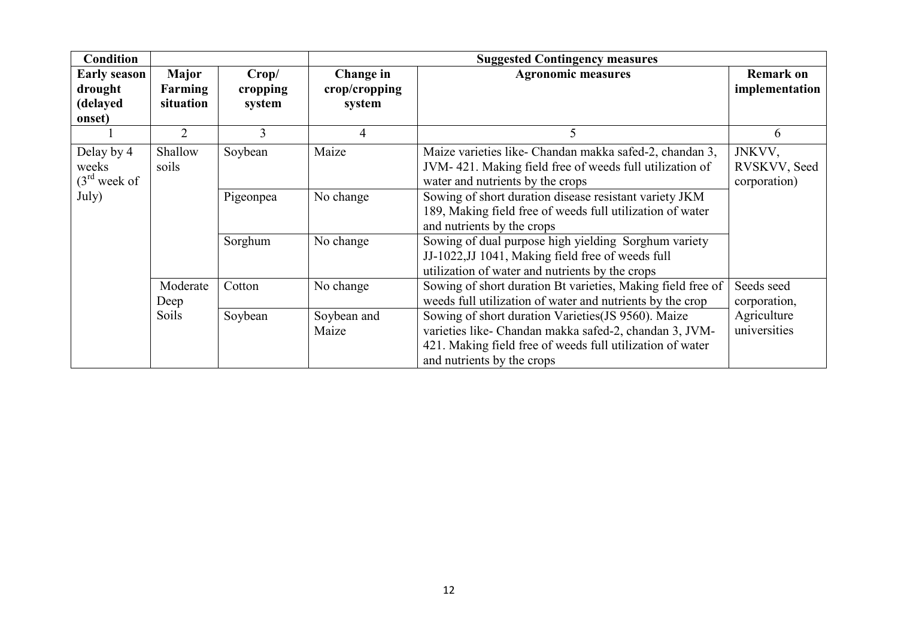| <b>Condition</b>                                     |                                      |                             |                                      | <b>Suggested Contingency measures</b>                                                                                                                                                                    |                                        |  |  |
|------------------------------------------------------|--------------------------------------|-----------------------------|--------------------------------------|----------------------------------------------------------------------------------------------------------------------------------------------------------------------------------------------------------|----------------------------------------|--|--|
| <b>Early season</b><br>drought<br>(delayed<br>onset) | <b>Major</b><br>Farming<br>situation | Crop/<br>cropping<br>system | Change in<br>crop/cropping<br>system | <b>Agronomic measures</b>                                                                                                                                                                                | <b>Remark on</b><br>implementation     |  |  |
|                                                      | $\overline{2}$                       | 3                           | 4                                    | 5.                                                                                                                                                                                                       | 6                                      |  |  |
| Delay by 4<br>weeks<br>$(3rd$ week of                | Shallow<br>soils                     | Soybean                     | Maize                                | Maize varieties like- Chandan makka safed-2, chandan 3,<br>JVM-421. Making field free of weeds full utilization of<br>water and nutrients by the crops                                                   | JNKVV,<br>RVSKVV, Seed<br>corporation) |  |  |
| July)                                                |                                      | Pigeonpea                   | No change                            | Sowing of short duration disease resistant variety JKM<br>189, Making field free of weeds full utilization of water<br>and nutrients by the crops                                                        |                                        |  |  |
|                                                      |                                      | Sorghum                     | No change                            | Sowing of dual purpose high yielding Sorghum variety<br>JJ-1022, JJ 1041, Making field free of weeds full<br>utilization of water and nutrients by the crops                                             |                                        |  |  |
|                                                      | Moderate<br>Deep                     | Cotton                      | No change                            | Sowing of short duration Bt varieties, Making field free of<br>weeds full utilization of water and nutrients by the crop                                                                                 | Seeds seed<br>corporation,             |  |  |
|                                                      | <b>Soils</b>                         | Soybean                     | Soybean and<br>Maize                 | Sowing of short duration Varieties (JS 9560). Maize<br>varieties like- Chandan makka safed-2, chandan 3, JVM-<br>421. Making field free of weeds full utilization of water<br>and nutrients by the crops | Agriculture<br>universities            |  |  |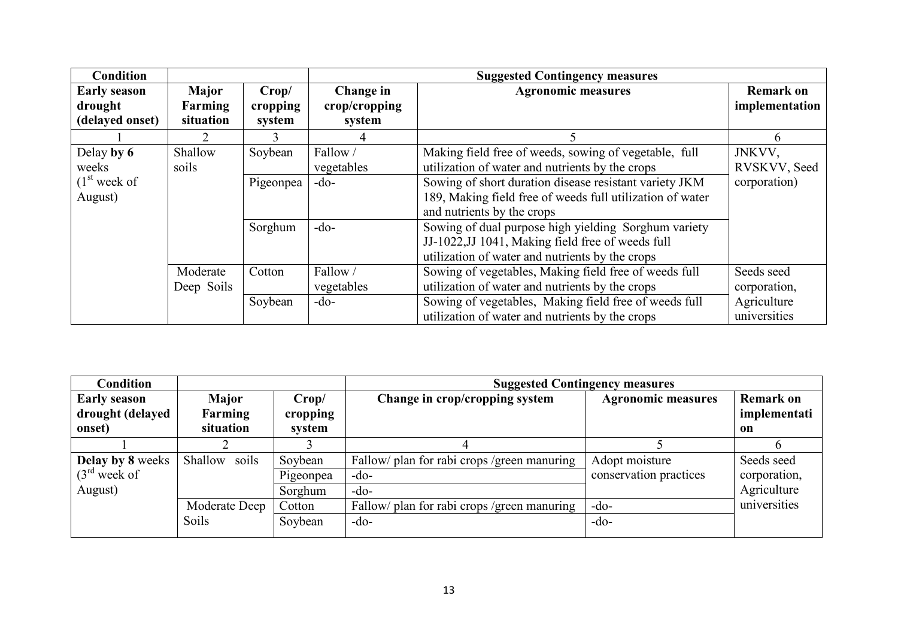| <b>Condition</b>                                  |                                      |                             |                                      | <b>Suggested Contingency measures</b>                                                                                                                              |                                        |  |  |
|---------------------------------------------------|--------------------------------------|-----------------------------|--------------------------------------|--------------------------------------------------------------------------------------------------------------------------------------------------------------------|----------------------------------------|--|--|
| <b>Early season</b><br>drought<br>(delayed onset) | <b>Major</b><br>Farming<br>situation | Crop/<br>cropping<br>system | Change in<br>crop/cropping<br>system | <b>Agronomic measures</b>                                                                                                                                          | <b>Remark on</b><br>implementation     |  |  |
|                                                   |                                      | 3                           |                                      | 5                                                                                                                                                                  | 6                                      |  |  |
| Delay by 6<br>weeks<br>(1 <sup>st</sup> week of   | Shallow<br>soils                     | Soybean<br>Pigeonpea        | Fallow/<br>vegetables<br>$-do-$      | Making field free of weeds, sowing of vegetable, full<br>utilization of water and nutrients by the crops<br>Sowing of short duration disease resistant variety JKM | JNKVV,<br>RVSKVV, Seed<br>corporation) |  |  |
| August)                                           |                                      |                             |                                      | 189, Making field free of weeds full utilization of water<br>and nutrients by the crops                                                                            |                                        |  |  |
|                                                   |                                      | Sorghum                     | $-do-$                               | Sowing of dual purpose high yielding Sorghum variety<br>JJ-1022, JJ 1041, Making field free of weeds full<br>utilization of water and nutrients by the crops       |                                        |  |  |
|                                                   | Moderate<br>Deep Soils               | Cotton                      | Fallow/<br>vegetables                | Sowing of vegetables, Making field free of weeds full<br>utilization of water and nutrients by the crops                                                           | Seeds seed<br>corporation,             |  |  |
|                                                   |                                      | Soybean                     | $-do-$                               | Sowing of vegetables, Making field free of weeds full<br>utilization of water and nutrients by the crops                                                           | Agriculture<br>universities            |  |  |

| <b>Condition</b>        |               |           | <b>Suggested Contingency measures</b>       |                           |                  |  |  |
|-------------------------|---------------|-----------|---------------------------------------------|---------------------------|------------------|--|--|
| <b>Early season</b>     | <b>Major</b>  | Crop/     | Change in crop/cropping system              | <b>Agronomic measures</b> | <b>Remark on</b> |  |  |
| drought (delayed        | Farming       | cropping  |                                             |                           | implementati     |  |  |
| onset)                  | situation     | system    |                                             |                           | on               |  |  |
|                         |               |           |                                             |                           |                  |  |  |
| <b>Delay by 8 weeks</b> | Shallow soils | Soybean   | Fallow/ plan for rabi crops /green manuring | Adopt moisture            | Seeds seed       |  |  |
| $(3rd$ week of          |               | Pigeonpea | $-do-$                                      | conservation practices    | corporation,     |  |  |
| August)                 |               | Sorghum   | $-do-$                                      |                           | Agriculture      |  |  |
|                         | Moderate Deep | Cotton    | Fallow/ plan for rabi crops /green manuring | $-do-$                    | universities     |  |  |
|                         | Soils         | Soybean   | $-do-$                                      | $-do-$                    |                  |  |  |
|                         |               |           |                                             |                           |                  |  |  |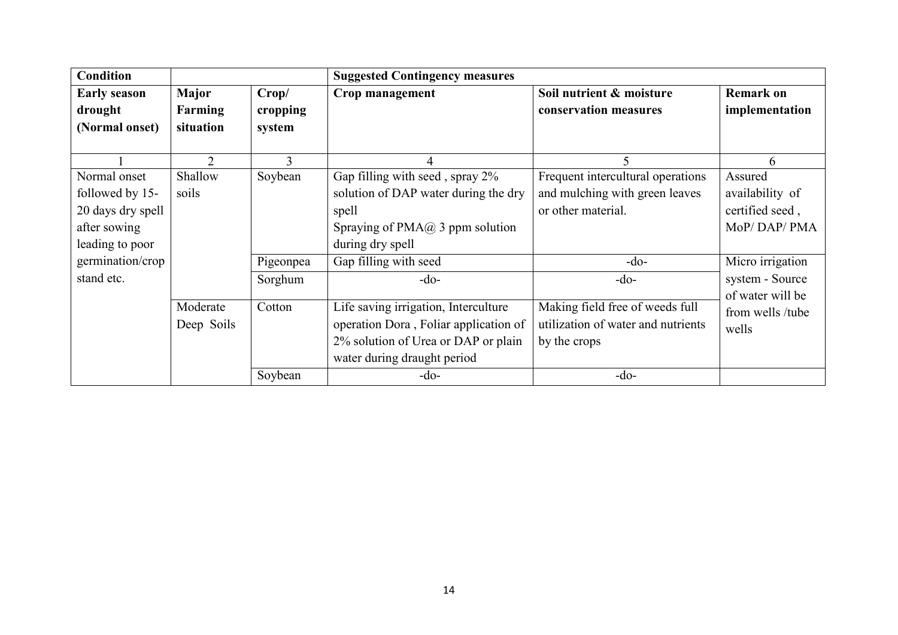| <b>Condition</b>                                                                                                          |                                      |                                 | <b>Suggested Contingency measures</b>                                                                                                                                       |                                                                                                               |                                                                                                     |  |  |
|---------------------------------------------------------------------------------------------------------------------------|--------------------------------------|---------------------------------|-----------------------------------------------------------------------------------------------------------------------------------------------------------------------------|---------------------------------------------------------------------------------------------------------------|-----------------------------------------------------------------------------------------------------|--|--|
| <b>Early season</b><br>drought<br>(Normal onset)                                                                          | Major<br><b>Farming</b><br>situation | Crop/<br>cropping<br>system     | Crop management                                                                                                                                                             | Soil nutrient & moisture<br>conservation measures                                                             | <b>Remark on</b><br>implementation                                                                  |  |  |
|                                                                                                                           | $\overline{2}$                       | 3                               |                                                                                                                                                                             | 5                                                                                                             | 6                                                                                                   |  |  |
| Normal onset<br>followed by 15-<br>20 days dry spell<br>after sowing<br>leading to poor<br>germination/crop<br>stand etc. | Shallow<br>soils                     | Soybean<br>Pigeonpea<br>Sorghum | Gap filling with seed, spray 2%<br>solution of DAP water during the dry<br>spell<br>Spraying of $PMA@3$ ppm solution<br>during dry spell<br>Gap filling with seed<br>$-do-$ | Frequent intercultural operations<br>and mulching with green leaves<br>or other material.<br>$-do-$<br>$-do-$ | Assured<br>availability of<br>certified seed,<br>MoP/DAP/PMA<br>Micro irrigation<br>system - Source |  |  |
|                                                                                                                           | Moderate<br>Deep Soils               | Cotton<br>Soybean               | Life saving irrigation, Interculture<br>operation Dora, Foliar application of<br>2% solution of Urea or DAP or plain<br>water during draught period<br>$-do-$               | Making field free of weeds full<br>utilization of water and nutrients<br>by the crops<br>$-do-$               | of water will be<br>from wells /tube<br>wells                                                       |  |  |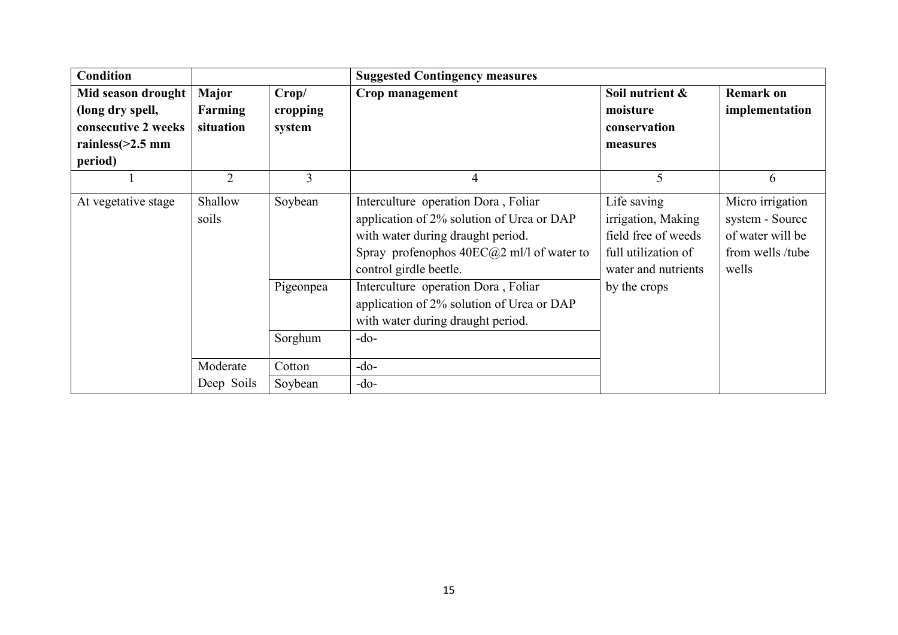| <b>Condition</b>                                                                                |                               |                             | <b>Suggested Contingency measures</b>                                                                                                                                                                            |                                                                                                        |                                                                                      |
|-------------------------------------------------------------------------------------------------|-------------------------------|-----------------------------|------------------------------------------------------------------------------------------------------------------------------------------------------------------------------------------------------------------|--------------------------------------------------------------------------------------------------------|--------------------------------------------------------------------------------------|
| Mid season drought<br>(long dry spell,<br>consecutive 2 weeks<br>rainless $(>2.5$ mm<br>period) | Major<br>Farming<br>situation | Crop/<br>cropping<br>system | Crop management                                                                                                                                                                                                  | Soil nutrient &<br>moisture<br>conservation<br>measures                                                | <b>Remark on</b><br>implementation                                                   |
|                                                                                                 | $\overline{2}$                | 3                           | 4                                                                                                                                                                                                                | 5                                                                                                      | 6                                                                                    |
| At vegetative stage                                                                             | Shallow<br>soils              | Soybean                     | Interculture operation Dora, Foliar<br>application of 2% solution of Urea or DAP<br>with water during draught period.<br>Spray profenophos $40EC(\partial 2 \text{ ml/l})$ of water to<br>control girdle beetle. | Life saving<br>irrigation, Making<br>field free of weeds<br>full utilization of<br>water and nutrients | Micro irrigation<br>system - Source<br>of water will be<br>from wells /tube<br>wells |
|                                                                                                 |                               | Pigeonpea                   | Interculture operation Dora, Foliar<br>application of 2% solution of Urea or DAP<br>with water during draught period.                                                                                            | by the crops                                                                                           |                                                                                      |
|                                                                                                 |                               | Sorghum                     | $-do-$                                                                                                                                                                                                           |                                                                                                        |                                                                                      |
|                                                                                                 | Moderate                      | Cotton                      | $-do-$                                                                                                                                                                                                           |                                                                                                        |                                                                                      |
|                                                                                                 | Deep Soils                    | Soybean                     | $-do-$                                                                                                                                                                                                           |                                                                                                        |                                                                                      |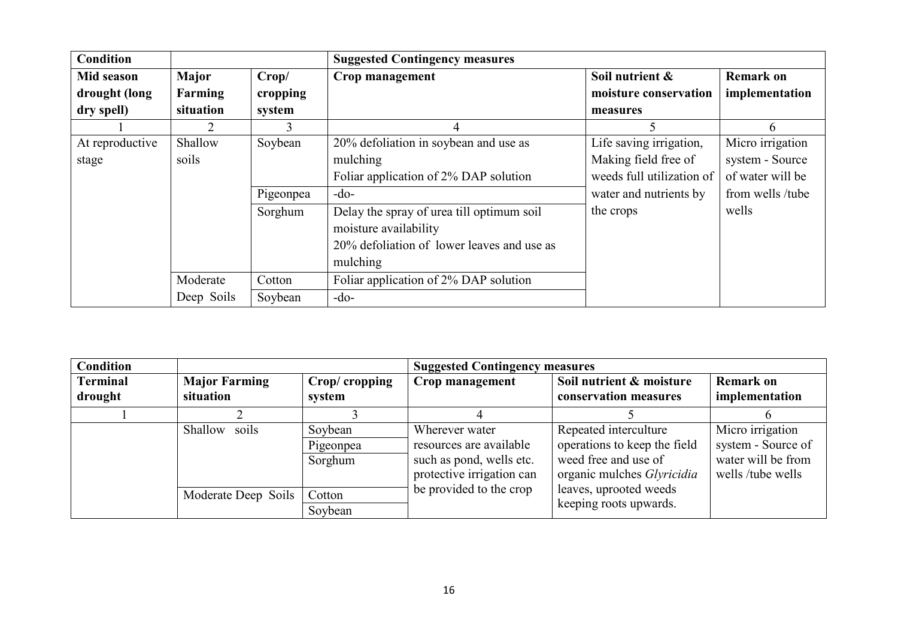| <b>Condition</b> |            |           | <b>Suggested Contingency measures</b>      |                           |                  |
|------------------|------------|-----------|--------------------------------------------|---------------------------|------------------|
| Mid season       | Major      | Crop/     | Crop management                            | Soil nutrient &           | <b>Remark on</b> |
| drought (long    | Farming    | cropping  |                                            | moisture conservation     | implementation   |
| dry spell)       | situation  | system    |                                            | measures                  |                  |
|                  |            |           | 4                                          |                           | 6                |
| At reproductive  | Shallow    | Soybean   | 20% defoliation in soybean and use as      | Life saving irrigation,   | Micro irrigation |
| stage            | soils      |           | mulching                                   | Making field free of      | system - Source  |
|                  |            |           | Foliar application of 2% DAP solution      | weeds full utilization of | of water will be |
|                  |            | Pigeonpea | $-do-$                                     | water and nutrients by    | from wells /tube |
|                  |            | Sorghum   | Delay the spray of urea till optimum soil  | the crops                 | wells            |
|                  |            |           | moisture availability                      |                           |                  |
|                  |            |           | 20% defoliation of lower leaves and use as |                           |                  |
|                  |            |           | mulching                                   |                           |                  |
|                  | Moderate   | Cotton    | Foliar application of 2% DAP solution      |                           |                  |
|                  | Deep Soils | Soybean   | $-do-$                                     |                           |                  |

| <b>Condition</b>           |                                   |                                 | <b>Suggested Contingency measures</b>                                                              |                                                                                                                    |                                                                                   |
|----------------------------|-----------------------------------|---------------------------------|----------------------------------------------------------------------------------------------------|--------------------------------------------------------------------------------------------------------------------|-----------------------------------------------------------------------------------|
| <b>Terminal</b><br>drought | <b>Major Farming</b><br>situation | Crop/ cropping<br>system        | Crop management                                                                                    | Soil nutrient & moisture<br>conservation measures                                                                  | <b>Remark on</b><br>implementation                                                |
|                            |                                   |                                 |                                                                                                    |                                                                                                                    |                                                                                   |
|                            | Shallow<br>soils                  | Soybean<br>Pigeonpea<br>Sorghum | Wherever water<br>resources are available<br>such as pond, wells etc.<br>protective irrigation can | Repeated interculture<br>operations to keep the field<br>weed free and use of<br>organic mulches <i>Glyricidia</i> | Micro irrigation<br>system - Source of<br>water will be from<br>wells /tube wells |
|                            | Moderate Deep Soils               | Cotton<br>Soybean               | be provided to the crop                                                                            | leaves, uprooted weeds<br>keeping roots upwards.                                                                   |                                                                                   |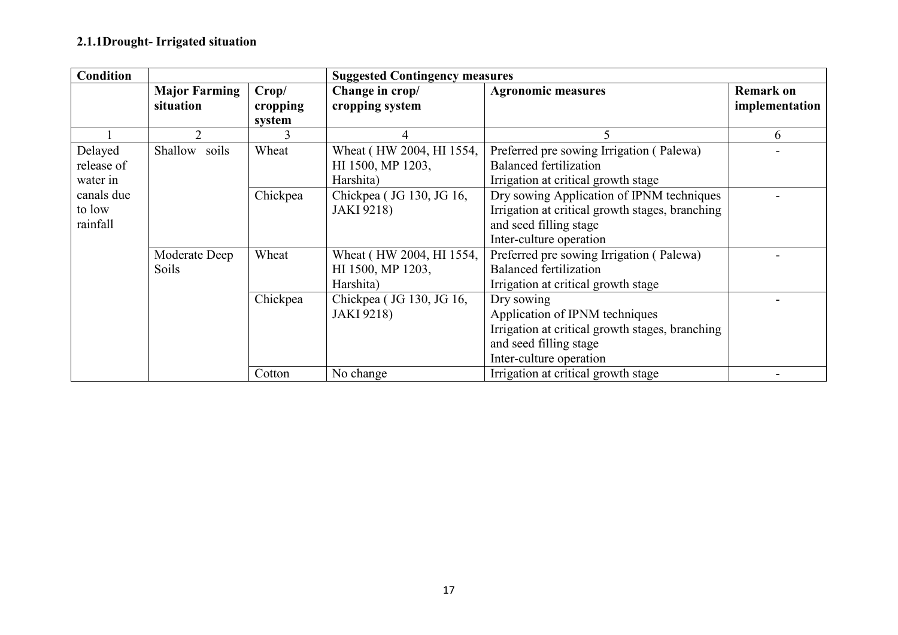### 2.1.1Drought- Irrigated situation

| <b>Condition</b> |                                   |                   | <b>Suggested Contingency measures</b> |                                                 |                                    |  |
|------------------|-----------------------------------|-------------------|---------------------------------------|-------------------------------------------------|------------------------------------|--|
|                  | <b>Major Farming</b><br>situation | Crop/<br>cropping | Change in crop/<br>cropping system    | <b>Agronomic measures</b>                       | <b>Remark on</b><br>implementation |  |
|                  |                                   | system            |                                       |                                                 |                                    |  |
|                  | 2                                 |                   | 4                                     | 5                                               | 6                                  |  |
| Delayed          | Shallow soils                     | Wheat             | Wheat (HW 2004, HI 1554,              | Preferred pre sowing Irrigation (Palewa)        |                                    |  |
| release of       |                                   |                   | HI 1500, MP 1203,                     | <b>Balanced fertilization</b>                   |                                    |  |
| water in         |                                   |                   | Harshita)                             | Irrigation at critical growth stage             |                                    |  |
| canals due       |                                   | Chickpea          | Chickpea (JG 130, JG 16,              | Dry sowing Application of IPNM techniques       |                                    |  |
| to low           |                                   |                   | <b>JAKI</b> 9218)                     | Irrigation at critical growth stages, branching |                                    |  |
| rainfall         |                                   |                   |                                       | and seed filling stage                          |                                    |  |
|                  |                                   |                   |                                       | Inter-culture operation                         |                                    |  |
|                  | Moderate Deep                     | Wheat             | Wheat (HW 2004, HI 1554,              | Preferred pre sowing Irrigation (Palewa)        |                                    |  |
|                  | <b>Soils</b>                      |                   | HI 1500, MP 1203,                     | <b>Balanced fertilization</b>                   |                                    |  |
|                  |                                   |                   | Harshita)                             | Irrigation at critical growth stage             |                                    |  |
|                  |                                   | Chickpea          | Chickpea (JG 130, JG 16,              | Dry sowing                                      |                                    |  |
|                  |                                   |                   | <b>JAKI</b> 9218)                     | Application of IPNM techniques                  |                                    |  |
|                  |                                   |                   |                                       | Irrigation at critical growth stages, branching |                                    |  |
|                  |                                   |                   |                                       | and seed filling stage                          |                                    |  |
|                  |                                   |                   |                                       | Inter-culture operation                         |                                    |  |
|                  |                                   | Cotton            | No change                             | Irrigation at critical growth stage             |                                    |  |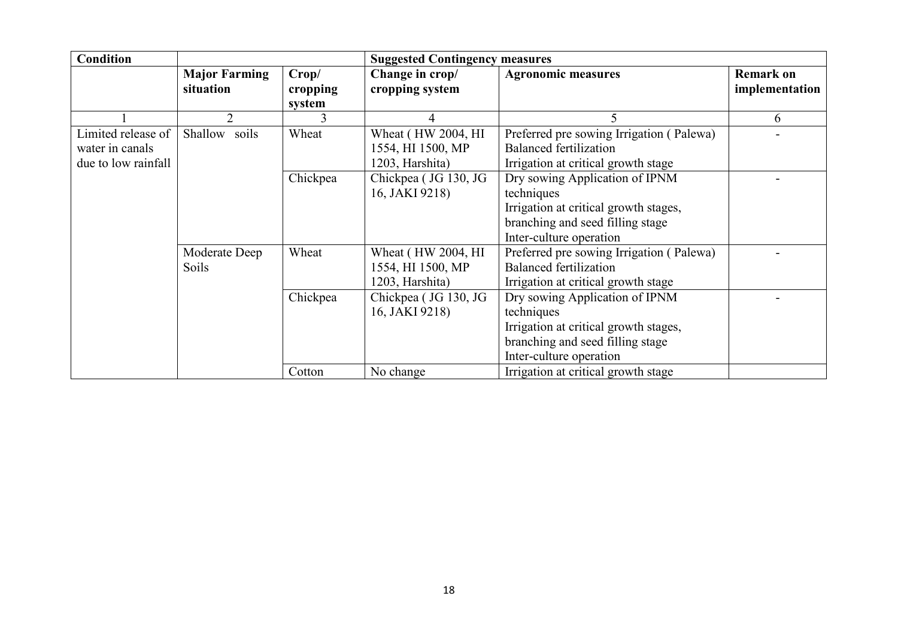| <b>Condition</b>                                             |                                   |                             | <b>Suggested Contingency measures</b>                       |                                                                                                                                                      |                                    |
|--------------------------------------------------------------|-----------------------------------|-----------------------------|-------------------------------------------------------------|------------------------------------------------------------------------------------------------------------------------------------------------------|------------------------------------|
|                                                              | <b>Major Farming</b><br>situation | Crop/<br>cropping<br>system | Change in crop/<br>cropping system                          | <b>Agronomic measures</b>                                                                                                                            | <b>Remark on</b><br>implementation |
|                                                              |                                   |                             |                                                             |                                                                                                                                                      | 6                                  |
| Limited release of<br>water in canals<br>due to low rainfall | Shallow soils                     | Wheat                       | Wheat (HW 2004, HI)<br>1554, HI 1500, MP<br>1203, Harshita) | Preferred pre sowing Irrigation (Palewa)<br><b>Balanced fertilization</b><br>Irrigation at critical growth stage                                     |                                    |
|                                                              |                                   | Chickpea                    | Chickpea (JG 130, JG<br>16, JAKI 9218)                      | Dry sowing Application of IPNM<br>techniques<br>Irrigation at critical growth stages,<br>branching and seed filling stage<br>Inter-culture operation |                                    |
|                                                              | Moderate Deep<br><b>Soils</b>     | Wheat                       | Wheat (HW 2004, HI)<br>1554, HI 1500, MP<br>1203, Harshita) | Preferred pre sowing Irrigation (Palewa)<br><b>Balanced fertilization</b><br>Irrigation at critical growth stage                                     |                                    |
|                                                              |                                   | Chickpea                    | Chickpea (JG 130, JG<br>16, JAKI 9218)                      | Dry sowing Application of IPNM<br>techniques<br>Irrigation at critical growth stages,<br>branching and seed filling stage<br>Inter-culture operation |                                    |
|                                                              |                                   | Cotton                      | No change                                                   | Irrigation at critical growth stage                                                                                                                  |                                    |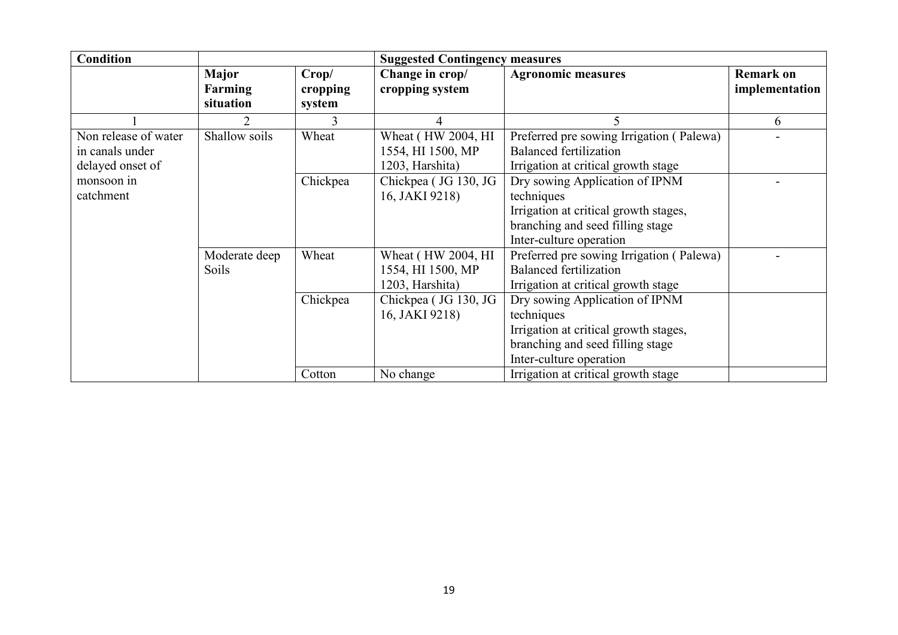| <b>Condition</b>                                            |                                             |                             | <b>Suggested Contingency measures</b>                       |                                                                                                                                                      |                                    |
|-------------------------------------------------------------|---------------------------------------------|-----------------------------|-------------------------------------------------------------|------------------------------------------------------------------------------------------------------------------------------------------------------|------------------------------------|
|                                                             | <b>Major</b><br><b>Farming</b><br>situation | Crop/<br>cropping<br>system | Change in crop/<br>cropping system                          | <b>Agronomic measures</b>                                                                                                                            | <b>Remark on</b><br>implementation |
|                                                             |                                             | 3                           | $\overline{4}$                                              | 5                                                                                                                                                    | 6                                  |
| Non release of water<br>in canals under<br>delayed onset of | Shallow soils                               | Wheat                       | Wheat (HW 2004, HI<br>1554, HI 1500, MP<br>1203, Harshita)  | Preferred pre sowing Irrigation (Palewa)<br><b>Balanced fertilization</b><br>Irrigation at critical growth stage                                     |                                    |
| monsoon in<br>catchment                                     |                                             | Chickpea                    | Chickpea (JG 130, JG<br>16, JAKI 9218)                      | Dry sowing Application of IPNM<br>techniques<br>Irrigation at critical growth stages,<br>branching and seed filling stage<br>Inter-culture operation |                                    |
|                                                             | Moderate deep<br>Soils                      | Wheat                       | Wheat (HW 2004, HI)<br>1554, HI 1500, MP<br>1203, Harshita) | Preferred pre sowing Irrigation (Palewa)<br><b>Balanced fertilization</b><br>Irrigation at critical growth stage                                     |                                    |
|                                                             |                                             | Chickpea                    | Chickpea (JG 130, JG<br>16, JAKI 9218)                      | Dry sowing Application of IPNM<br>techniques<br>Irrigation at critical growth stages,<br>branching and seed filling stage<br>Inter-culture operation |                                    |
|                                                             |                                             | Cotton                      | No change                                                   | Irrigation at critical growth stage                                                                                                                  |                                    |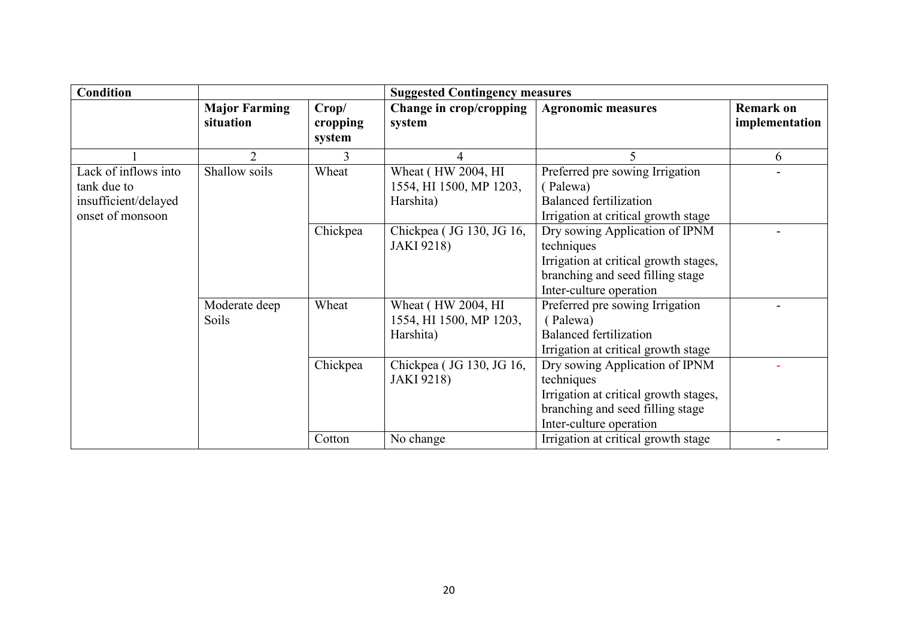| <b>Condition</b>     |                                   |                   | <b>Suggested Contingency measures</b> |                                       |                                    |
|----------------------|-----------------------------------|-------------------|---------------------------------------|---------------------------------------|------------------------------------|
|                      | <b>Major Farming</b><br>situation | Crop/<br>cropping | Change in crop/cropping<br>system     | <b>Agronomic measures</b>             | <b>Remark on</b><br>implementation |
|                      |                                   | system            |                                       |                                       |                                    |
|                      | $\overline{2}$                    | 3                 | 4                                     | 5                                     | 6                                  |
| Lack of inflows into | Shallow soils                     | Wheat             | Wheat (HW 2004, HI                    | Preferred pre sowing Irrigation       |                                    |
| tank due to          |                                   |                   | 1554, HI 1500, MP 1203,               | (Palewa)                              |                                    |
| insufficient/delayed |                                   |                   | Harshita)                             | <b>Balanced fertilization</b>         |                                    |
| onset of monsoon     |                                   |                   |                                       | Irrigation at critical growth stage   |                                    |
|                      |                                   | Chickpea          | Chickpea (JG 130, JG 16,              | Dry sowing Application of IPNM        |                                    |
|                      |                                   |                   | <b>JAKI 9218)</b>                     | techniques                            |                                    |
|                      |                                   |                   |                                       | Irrigation at critical growth stages, |                                    |
|                      |                                   |                   |                                       | branching and seed filling stage      |                                    |
|                      |                                   |                   |                                       | Inter-culture operation               |                                    |
|                      | Moderate deep                     | Wheat             | Wheat (HW 2004, HI)                   | Preferred pre sowing Irrigation       |                                    |
|                      | Soils                             |                   | 1554, HI 1500, MP 1203,               | (Palewa)                              |                                    |
|                      |                                   |                   | Harshita)                             | <b>Balanced fertilization</b>         |                                    |
|                      |                                   |                   |                                       | Irrigation at critical growth stage   |                                    |
|                      |                                   | Chickpea          | Chickpea (JG 130, JG 16,              | Dry sowing Application of IPNM        |                                    |
|                      |                                   |                   | <b>JAKI</b> 9218)                     | techniques                            |                                    |
|                      |                                   |                   |                                       | Irrigation at critical growth stages, |                                    |
|                      |                                   |                   |                                       | branching and seed filling stage      |                                    |
|                      |                                   |                   |                                       | Inter-culture operation               |                                    |
|                      |                                   | Cotton            | No change                             | Irrigation at critical growth stage   |                                    |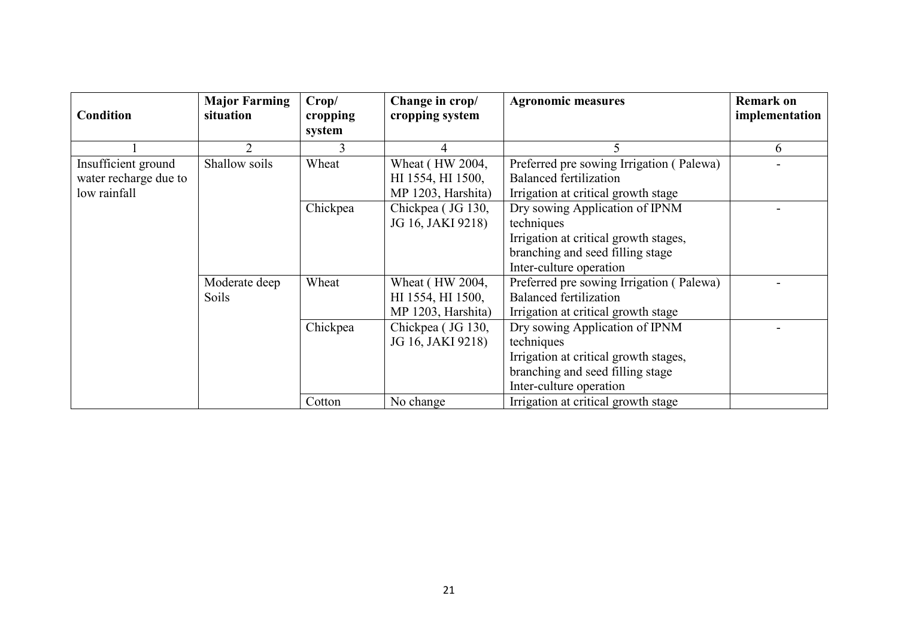| <b>Condition</b>                             | <b>Major Farming</b><br>situation | Crop/<br>cropping<br>system | Change in crop/<br>cropping system   | <b>Agronomic measures</b>                                                 | <b>Remark on</b><br>implementation |
|----------------------------------------------|-----------------------------------|-----------------------------|--------------------------------------|---------------------------------------------------------------------------|------------------------------------|
|                                              |                                   |                             |                                      |                                                                           | 6                                  |
| Insufficient ground<br>water recharge due to | Shallow soils                     | Wheat                       | Wheat (HW 2004,<br>HI 1554, HI 1500, | Preferred pre sowing Irrigation (Palewa)<br><b>Balanced fertilization</b> |                                    |
| low rainfall                                 |                                   |                             | MP 1203, Harshita)                   | Irrigation at critical growth stage                                       |                                    |
|                                              |                                   | Chickpea                    | Chickpea (JG 130,                    | Dry sowing Application of IPNM                                            |                                    |
|                                              |                                   |                             | JG 16, JAKI 9218)                    | techniques                                                                |                                    |
|                                              |                                   |                             |                                      | Irrigation at critical growth stages,                                     |                                    |
|                                              |                                   |                             |                                      | branching and seed filling stage                                          |                                    |
|                                              |                                   |                             |                                      | Inter-culture operation                                                   |                                    |
|                                              | Moderate deep                     | Wheat                       | Wheat (HW 2004,                      | Preferred pre sowing Irrigation (Palewa)                                  |                                    |
|                                              | <b>Soils</b>                      |                             | HI 1554, HI 1500,                    | <b>Balanced fertilization</b>                                             |                                    |
|                                              |                                   |                             | MP 1203, Harshita)                   | Irrigation at critical growth stage                                       |                                    |
|                                              |                                   | Chickpea                    | Chickpea (JG 130,                    | Dry sowing Application of IPNM                                            |                                    |
|                                              |                                   |                             | JG 16, JAKI 9218)                    | techniques                                                                |                                    |
|                                              |                                   |                             |                                      | Irrigation at critical growth stages,                                     |                                    |
|                                              |                                   |                             |                                      | branching and seed filling stage                                          |                                    |
|                                              |                                   |                             |                                      | Inter-culture operation                                                   |                                    |
|                                              |                                   | Cotton                      | No change                            | Irrigation at critical growth stage                                       |                                    |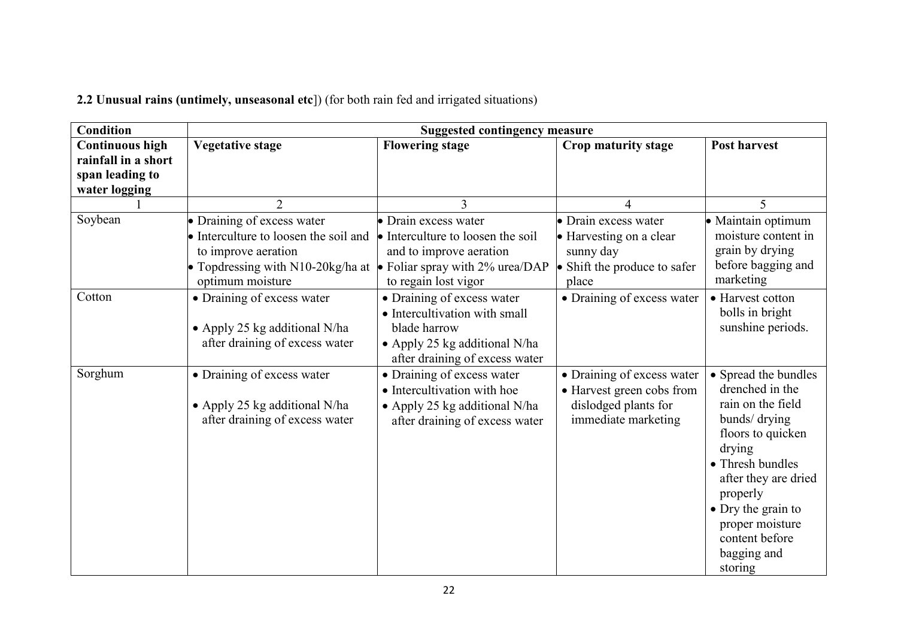2.2 Unusual rains (untimely, unseasonal etc]) (for both rain fed and irrigated situations)

| <b>Condition</b>                                                                  | <b>Suggested contingency measure</b>                                                                                                                                                                                          |                                                                                                                                                |                                                                                                        |                                                                                                                                                                                                                                                           |  |
|-----------------------------------------------------------------------------------|-------------------------------------------------------------------------------------------------------------------------------------------------------------------------------------------------------------------------------|------------------------------------------------------------------------------------------------------------------------------------------------|--------------------------------------------------------------------------------------------------------|-----------------------------------------------------------------------------------------------------------------------------------------------------------------------------------------------------------------------------------------------------------|--|
| <b>Continuous high</b><br>rainfall in a short<br>span leading to<br>water logging | <b>Vegetative stage</b>                                                                                                                                                                                                       | <b>Flowering stage</b>                                                                                                                         | Crop maturity stage                                                                                    | <b>Post harvest</b>                                                                                                                                                                                                                                       |  |
|                                                                                   | $\overline{2}$                                                                                                                                                                                                                | 3                                                                                                                                              |                                                                                                        | $\overline{\mathcal{L}}$                                                                                                                                                                                                                                  |  |
| Soybean                                                                           | • Draining of excess water<br>• Interculture to loosen the soil and $\bullet$ Interculture to loosen the soil<br>to improve aeration<br>• Topdressing with N10-20kg/ha at • Foliar spray with 2% urea/DAP<br>optimum moisture | • Drain excess water<br>and to improve aeration<br>to regain lost vigor                                                                        | • Drain excess water<br>• Harvesting on a clear<br>sunny day<br>• Shift the produce to safer<br>place  | · Maintain optimum<br>moisture content in<br>grain by drying<br>before bagging and<br>marketing                                                                                                                                                           |  |
| Cotton                                                                            | • Draining of excess water<br>• Apply 25 kg additional N/ha<br>after draining of excess water                                                                                                                                 | • Draining of excess water<br>• Intercultivation with small<br>blade harrow<br>• Apply 25 kg additional N/ha<br>after draining of excess water | • Draining of excess water                                                                             | • Harvest cotton<br>bolls in bright<br>sunshine periods.                                                                                                                                                                                                  |  |
| Sorghum                                                                           | • Draining of excess water<br>• Apply 25 kg additional N/ha<br>after draining of excess water                                                                                                                                 | • Draining of excess water<br>• Intercultivation with hoe<br>• Apply 25 kg additional N/ha<br>after draining of excess water                   | • Draining of excess water<br>• Harvest green cobs from<br>dislodged plants for<br>immediate marketing | • Spread the bundles<br>drenched in the<br>rain on the field<br>bunds/ drying<br>floors to quicken<br>drying<br>• Thresh bundles<br>after they are dried<br>properly<br>• Dry the grain to<br>proper moisture<br>content before<br>bagging and<br>storing |  |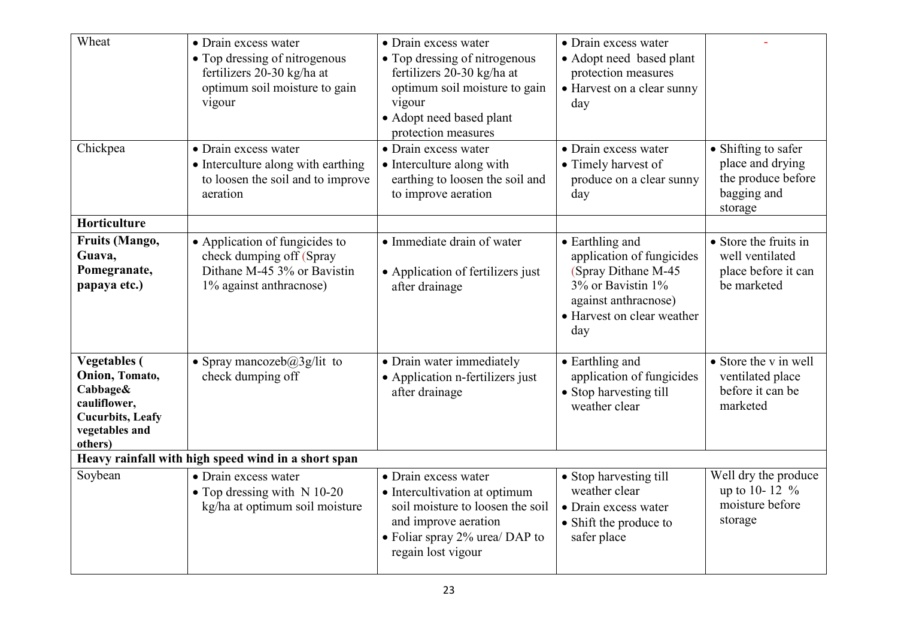| Wheat                                                                                                                      | • Drain excess water<br>• Top dressing of nitrogenous<br>fertilizers 20-30 kg/ha at<br>optimum soil moisture to gain<br>vigour | • Drain excess water<br>• Top dressing of nitrogenous<br>fertilizers 20-30 kg/ha at<br>optimum soil moisture to gain<br>vigour<br>• Adopt need based plant<br>protection measures | • Drain excess water<br>• Adopt need based plant<br>protection measures<br>• Harvest on a clear sunny<br>day                                           |                                                                                         |
|----------------------------------------------------------------------------------------------------------------------------|--------------------------------------------------------------------------------------------------------------------------------|-----------------------------------------------------------------------------------------------------------------------------------------------------------------------------------|--------------------------------------------------------------------------------------------------------------------------------------------------------|-----------------------------------------------------------------------------------------|
| Chickpea                                                                                                                   | • Drain excess water<br>• Interculture along with earthing<br>to loosen the soil and to improve<br>aeration                    | • Drain excess water<br>• Interculture along with<br>earthing to loosen the soil and<br>to improve aeration                                                                       | • Drain excess water<br>• Timely harvest of<br>produce on a clear sunny<br>day                                                                         | • Shifting to safer<br>place and drying<br>the produce before<br>bagging and<br>storage |
| Horticulture                                                                                                               |                                                                                                                                |                                                                                                                                                                                   |                                                                                                                                                        |                                                                                         |
| <b>Fruits (Mango,</b><br>Guava,<br>Pomegranate,<br>papaya etc.)                                                            | • Application of fungicides to<br>check dumping off (Spray<br>Dithane M-45 3% or Bavistin<br>1% against anthracnose)           | • Immediate drain of water<br>• Application of fertilizers just<br>after drainage                                                                                                 | • Earthling and<br>application of fungicides<br>(Spray Dithane M-45)<br>3% or Bavistin 1%<br>against anthracnose)<br>• Harvest on clear weather<br>day | • Store the fruits in<br>well ventilated<br>place before it can<br>be marketed          |
| <b>Vegetables</b> (<br>Onion, Tomato,<br>Cabbage&<br>cauliflower,<br><b>Cucurbits</b> , Leafy<br>vegetables and<br>others) | • Spray mancozeb $@3g$ /lit to<br>check dumping off                                                                            | • Drain water immediately<br>• Application n-fertilizers just<br>after drainage                                                                                                   | • Earthling and<br>application of fungicides<br>• Stop harvesting till<br>weather clear                                                                | • Store the v in well<br>ventilated place<br>before it can be<br>marketed               |
|                                                                                                                            | Heavy rainfall with high speed wind in a short span                                                                            |                                                                                                                                                                                   |                                                                                                                                                        |                                                                                         |
| Soybean                                                                                                                    | • Drain excess water<br>• Top dressing with N 10-20<br>kg/ha at optimum soil moisture                                          | • Drain excess water<br>• Intercultivation at optimum<br>soil moisture to loosen the soil<br>and improve aeration<br>• Foliar spray $2\%$ urea/DAP to<br>regain lost vigour       | • Stop harvesting till<br>weather clear<br>• Drain excess water<br>• Shift the produce to<br>safer place                                               | Well dry the produce<br>up to 10-12 %<br>moisture before<br>storage                     |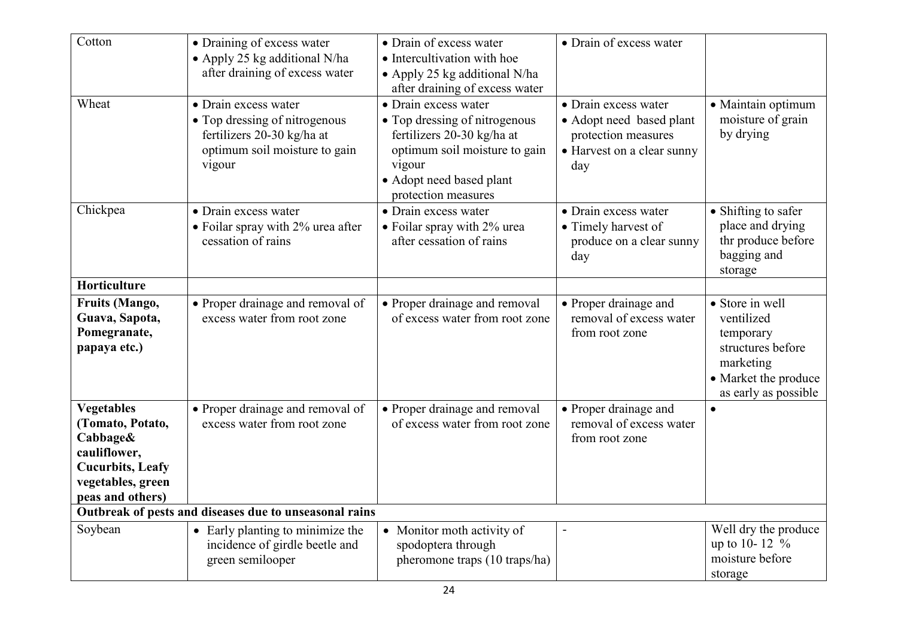| Cotton                                                                                                                                 | • Draining of excess water<br>• Apply 25 kg additional N/ha<br>after draining of excess water                                  | • Drain of excess water<br>• Intercultivation with hoe<br>• Apply 25 kg additional N/ha<br>after draining of excess water                                                         | • Drain of excess water                                                                                      |                                                                                                                              |
|----------------------------------------------------------------------------------------------------------------------------------------|--------------------------------------------------------------------------------------------------------------------------------|-----------------------------------------------------------------------------------------------------------------------------------------------------------------------------------|--------------------------------------------------------------------------------------------------------------|------------------------------------------------------------------------------------------------------------------------------|
| Wheat                                                                                                                                  | • Drain excess water<br>• Top dressing of nitrogenous<br>fertilizers 20-30 kg/ha at<br>optimum soil moisture to gain<br>vigour | • Drain excess water<br>• Top dressing of nitrogenous<br>fertilizers 20-30 kg/ha at<br>optimum soil moisture to gain<br>vigour<br>• Adopt need based plant<br>protection measures | • Drain excess water<br>• Adopt need based plant<br>protection measures<br>• Harvest on a clear sunny<br>day | · Maintain optimum<br>moisture of grain<br>by drying                                                                         |
| Chickpea                                                                                                                               | • Drain excess water<br>• Foilar spray with 2% urea after<br>cessation of rains                                                | • Drain excess water<br>• Foilar spray with 2% urea<br>after cessation of rains                                                                                                   | • Drain excess water<br>• Timely harvest of<br>produce on a clear sunny<br>day                               | • Shifting to safer<br>place and drying<br>thr produce before<br>bagging and<br>storage                                      |
| Horticulture                                                                                                                           |                                                                                                                                |                                                                                                                                                                                   |                                                                                                              |                                                                                                                              |
| <b>Fruits (Mango,</b><br>Guava, Sapota,<br>Pomegranate,<br>papaya etc.)                                                                | • Proper drainage and removal of<br>excess water from root zone                                                                | • Proper drainage and removal<br>of excess water from root zone                                                                                                                   | • Proper drainage and<br>removal of excess water<br>from root zone                                           | • Store in well<br>ventilized<br>temporary<br>structures before<br>marketing<br>• Market the produce<br>as early as possible |
| <b>Vegetables</b><br>(Tomato, Potato,<br>Cabbage&<br>cauliflower,<br><b>Cucurbits</b> , Leafy<br>vegetables, green<br>peas and others) | • Proper drainage and removal of<br>excess water from root zone                                                                | • Proper drainage and removal<br>of excess water from root zone                                                                                                                   | • Proper drainage and<br>removal of excess water<br>from root zone                                           | $\bullet$                                                                                                                    |
|                                                                                                                                        | Outbreak of pests and diseases due to unseasonal rains                                                                         |                                                                                                                                                                                   |                                                                                                              |                                                                                                                              |
| Soybean                                                                                                                                | • Early planting to minimize the<br>incidence of girdle beetle and<br>green semilooper                                         | • Monitor moth activity of<br>spodoptera through<br>pheromone traps (10 traps/ha)                                                                                                 |                                                                                                              | Well dry the produce<br>up to 10-12 %<br>moisture before<br>storage                                                          |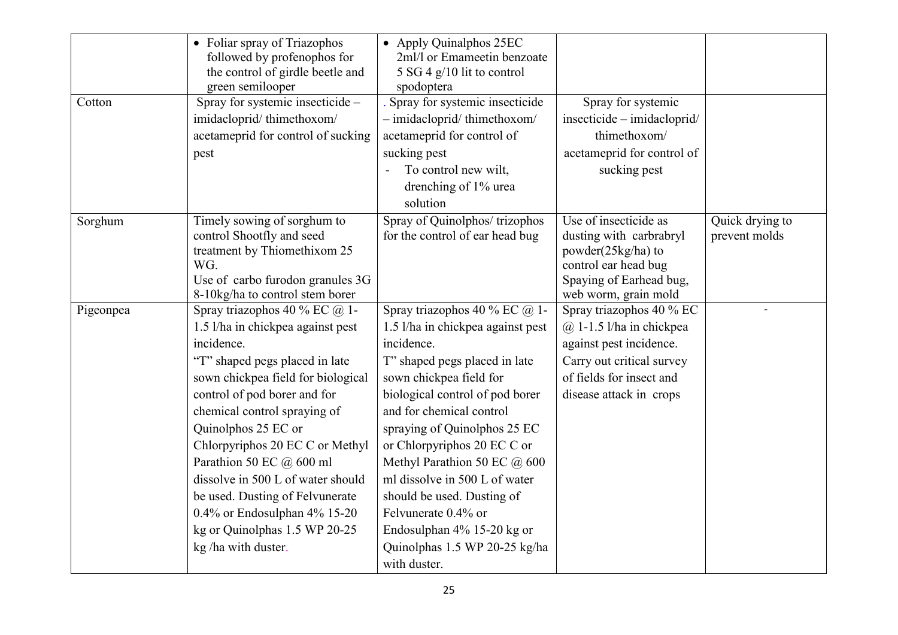|           | • Foliar spray of Triazophos<br>followed by profenophos for<br>the control of girdle beetle and<br>green semilooper | • Apply Quinalphos 25EC<br>2ml/l or Emameetin benzoate<br>5 SG 4 $g/10$ lit to control<br>spodoptera |                                               |                 |
|-----------|---------------------------------------------------------------------------------------------------------------------|------------------------------------------------------------------------------------------------------|-----------------------------------------------|-----------------|
| Cotton    | Spray for systemic insecticide -                                                                                    | Spray for systemic insecticide                                                                       | Spray for systemic                            |                 |
|           | imidacloprid/thimethoxom/                                                                                           | - imidacloprid/thimethoxom/                                                                          | insecticide - imidacloprid/                   |                 |
|           | acetameprid for control of sucking                                                                                  | acetameprid for control of                                                                           | thimethoxom/                                  |                 |
|           | pest                                                                                                                | sucking pest                                                                                         | acetameprid for control of                    |                 |
|           |                                                                                                                     | To control new wilt,                                                                                 | sucking pest                                  |                 |
|           |                                                                                                                     | drenching of 1% urea                                                                                 |                                               |                 |
|           |                                                                                                                     | solution                                                                                             |                                               |                 |
| Sorghum   | Timely sowing of sorghum to                                                                                         | Spray of Quinolphos/trizophos                                                                        | Use of insecticide as                         | Quick drying to |
|           | control Shootfly and seed<br>treatment by Thiomethixom 25                                                           | for the control of ear head bug                                                                      | dusting with carbrabryl<br>powder(25kg/ha) to | prevent molds   |
|           | WG.                                                                                                                 |                                                                                                      | control ear head bug                          |                 |
|           | Use of carbo furodon granules 3G                                                                                    |                                                                                                      | Spaying of Earhead bug,                       |                 |
|           | 8-10kg/ha to control stem borer                                                                                     |                                                                                                      | web worm, grain mold                          |                 |
| Pigeonpea | Spray triazophos 40 % EC $@$ 1-                                                                                     | Spray triazophos 40 % EC @ 1-                                                                        | Spray triazophos 40 % EC                      |                 |
|           | 1.5 l/ha in chickpea against pest                                                                                   | 1.5 l/ha in chickpea against pest                                                                    | $(a)$ 1-1.5 l/ha in chickpea                  |                 |
|           | incidence.                                                                                                          | incidence.                                                                                           | against pest incidence.                       |                 |
|           | "T" shaped pegs placed in late                                                                                      | T" shaped pegs placed in late                                                                        | Carry out critical survey                     |                 |
|           | sown chickpea field for biological                                                                                  | sown chickpea field for                                                                              | of fields for insect and                      |                 |
|           | control of pod borer and for                                                                                        | biological control of pod borer                                                                      | disease attack in crops                       |                 |
|           | chemical control spraying of                                                                                        | and for chemical control                                                                             |                                               |                 |
|           | Quinolphos 25 EC or                                                                                                 | spraying of Quinolphos 25 EC                                                                         |                                               |                 |
|           | Chlorpyriphos 20 EC C or Methyl                                                                                     | or Chlorpyriphos 20 EC C or                                                                          |                                               |                 |
|           | Parathion 50 EC @ 600 ml                                                                                            | Methyl Parathion 50 EC @ 600                                                                         |                                               |                 |
|           | dissolve in 500 L of water should                                                                                   | ml dissolve in 500 L of water                                                                        |                                               |                 |
|           | be used. Dusting of Felvunerate                                                                                     | should be used. Dusting of                                                                           |                                               |                 |
|           | 0.4% or Endosulphan 4% 15-20                                                                                        | Felvunerate 0.4% or                                                                                  |                                               |                 |
|           | kg or Quinolphas 1.5 WP 20-25                                                                                       | Endosulphan 4% 15-20 kg or                                                                           |                                               |                 |
|           | kg/ha with duster.                                                                                                  | Quinolphas 1.5 WP 20-25 kg/ha                                                                        |                                               |                 |
|           |                                                                                                                     | with duster.                                                                                         |                                               |                 |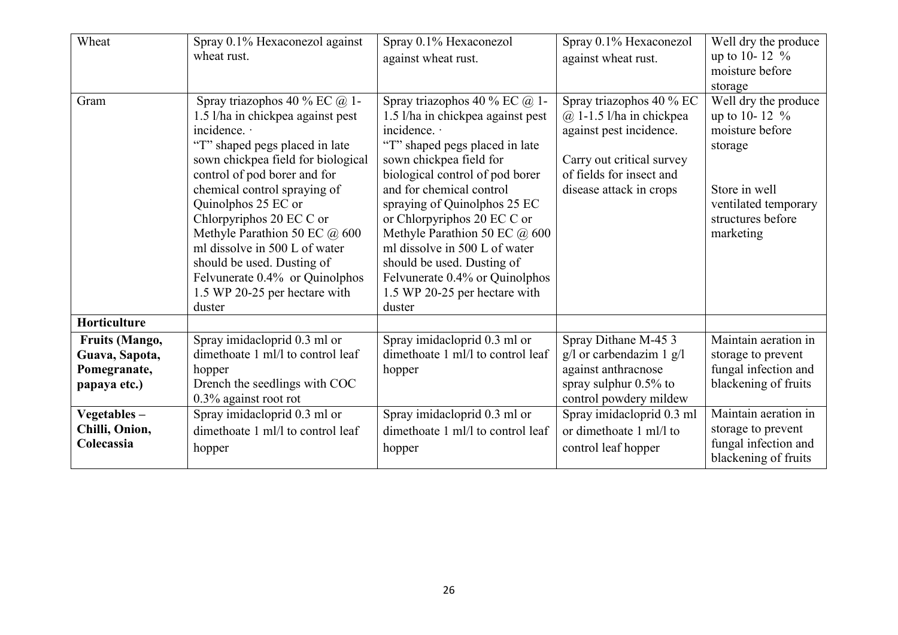| Wheat                                                                   | Spray 0.1% Hexaconezol against<br>wheat rust.                                                                                                                                                                                                                                                                                                                                                                                                              | Spray 0.1% Hexaconezol<br>against wheat rust.                                                                                                                                                                                                                                                                                                                                                                                                              | Spray 0.1% Hexaconezol<br>against wheat rust.                                                                                                                           | Well dry the produce<br>up to 10-12 $%$<br>moisture before<br>storage                                                                            |
|-------------------------------------------------------------------------|------------------------------------------------------------------------------------------------------------------------------------------------------------------------------------------------------------------------------------------------------------------------------------------------------------------------------------------------------------------------------------------------------------------------------------------------------------|------------------------------------------------------------------------------------------------------------------------------------------------------------------------------------------------------------------------------------------------------------------------------------------------------------------------------------------------------------------------------------------------------------------------------------------------------------|-------------------------------------------------------------------------------------------------------------------------------------------------------------------------|--------------------------------------------------------------------------------------------------------------------------------------------------|
| Gram                                                                    | Spray triazophos 40 % EC @ 1-<br>1.5 l/ha in chickpea against pest<br>incidence. .<br>"T" shaped pegs placed in late<br>sown chickpea field for biological<br>control of pod borer and for<br>chemical control spraying of<br>Quinolphos 25 EC or<br>Chlorpyriphos 20 EC C or<br>Methyle Parathion 50 EC @ 600<br>ml dissolve in 500 L of water<br>should be used. Dusting of<br>Felvunerate 0.4% or Quinolphos<br>1.5 WP 20-25 per hectare with<br>duster | Spray triazophos 40 % EC @ 1-<br>1.5 l/ha in chickpea against pest<br>incidence. ·<br>"T" shaped pegs placed in late<br>sown chickpea field for<br>biological control of pod borer<br>and for chemical control<br>spraying of Quinolphos 25 EC<br>or Chlorpyriphos 20 EC C or<br>Methyle Parathion 50 EC @ 600<br>ml dissolve in 500 L of water<br>should be used. Dusting of<br>Felvunerate 0.4% or Quinolphos<br>1.5 WP 20-25 per hectare with<br>duster | Spray triazophos 40 % EC<br>$(a)$ 1-1.5 l/ha in chickpea<br>against pest incidence.<br>Carry out critical survey<br>of fields for insect and<br>disease attack in crops | Well dry the produce<br>up to 10-12 $%$<br>moisture before<br>storage<br>Store in well<br>ventilated temporary<br>structures before<br>marketing |
| Horticulture                                                            |                                                                                                                                                                                                                                                                                                                                                                                                                                                            |                                                                                                                                                                                                                                                                                                                                                                                                                                                            |                                                                                                                                                                         |                                                                                                                                                  |
| <b>Fruits (Mango,</b><br>Guava, Sapota,<br>Pomegranate,<br>papaya etc.) | Spray imidacloprid 0.3 ml or<br>dimethoate 1 ml/l to control leaf<br>hopper<br>Drench the seedlings with COC<br>$0.3\%$ against root rot                                                                                                                                                                                                                                                                                                                   | Spray imidacloprid 0.3 ml or<br>dimethoate 1 ml/l to control leaf<br>hopper                                                                                                                                                                                                                                                                                                                                                                                | Spray Dithane M-45 3<br>$g/l$ or carbendazim 1 $g/l$<br>against anthracnose<br>spray sulphur $0.5\%$ to<br>control powdery mildew                                       | Maintain aeration in<br>storage to prevent<br>fungal infection and<br>blackening of fruits                                                       |
| Vegetables $-$<br>Chilli, Onion,<br>Colecassia                          | Spray imidacloprid 0.3 ml or<br>dimethoate 1 ml/l to control leaf<br>hopper                                                                                                                                                                                                                                                                                                                                                                                | Spray imidacloprid 0.3 ml or<br>dimethoate 1 ml/l to control leaf<br>hopper                                                                                                                                                                                                                                                                                                                                                                                | Spray imidacloprid 0.3 ml<br>or dimethoate 1 ml/l to<br>control leaf hopper                                                                                             | Maintain aeration in<br>storage to prevent<br>fungal infection and<br>blackening of fruits                                                       |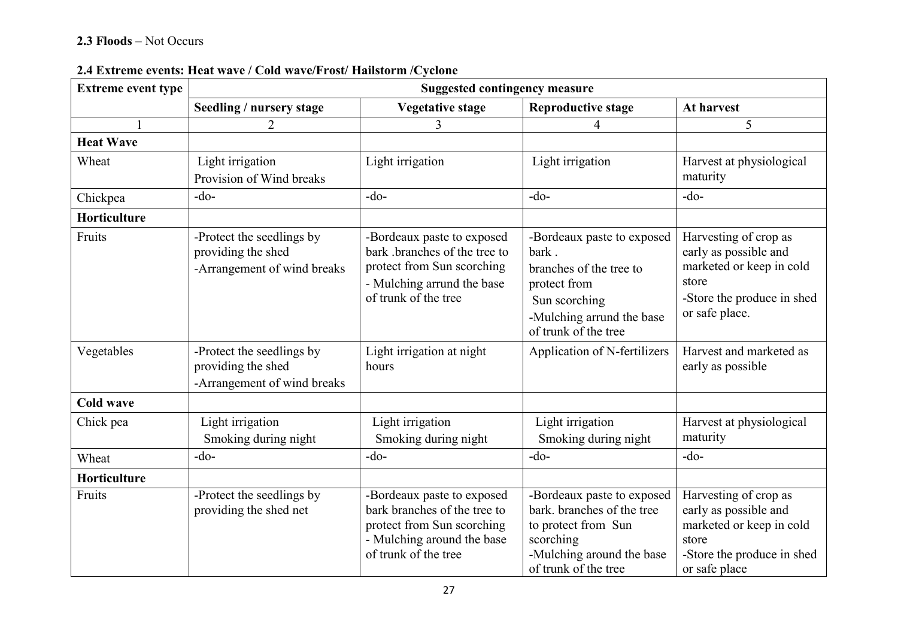### 2.3 Floods – Not Occurs

| <b>Extreme event type</b> | <b>Suggested contingency measure</b>                                           |                                                                                                                                                 |                                                                                                                                                     |                                                                                                                                     |  |  |
|---------------------------|--------------------------------------------------------------------------------|-------------------------------------------------------------------------------------------------------------------------------------------------|-----------------------------------------------------------------------------------------------------------------------------------------------------|-------------------------------------------------------------------------------------------------------------------------------------|--|--|
|                           | Seedling / nursery stage                                                       | <b>Vegetative stage</b>                                                                                                                         | <b>Reproductive stage</b>                                                                                                                           | At harvest                                                                                                                          |  |  |
|                           |                                                                                | 3                                                                                                                                               |                                                                                                                                                     | 5                                                                                                                                   |  |  |
| <b>Heat Wave</b>          |                                                                                |                                                                                                                                                 |                                                                                                                                                     |                                                                                                                                     |  |  |
| Wheat                     | Light irrigation<br>Provision of Wind breaks                                   | Light irrigation                                                                                                                                | Light irrigation                                                                                                                                    | Harvest at physiological<br>maturity                                                                                                |  |  |
| Chickpea                  | $-do-$                                                                         | $-do-$                                                                                                                                          | $-do-$                                                                                                                                              | $-do-$                                                                                                                              |  |  |
| Horticulture              |                                                                                |                                                                                                                                                 |                                                                                                                                                     |                                                                                                                                     |  |  |
| Fruits                    | -Protect the seedlings by<br>providing the shed<br>-Arrangement of wind breaks | -Bordeaux paste to exposed<br>bark .branches of the tree to<br>protect from Sun scorching<br>- Mulching arrund the base<br>of trunk of the tree | -Bordeaux paste to exposed<br>bark<br>branches of the tree to<br>protect from<br>Sun scorching<br>-Mulching arrund the base<br>of trunk of the tree | Harvesting of crop as<br>early as possible and<br>marketed or keep in cold<br>store<br>-Store the produce in shed<br>or safe place. |  |  |
| Vegetables                | -Protect the seedlings by<br>providing the shed<br>-Arrangement of wind breaks | Light irrigation at night<br>hours                                                                                                              | Application of N-fertilizers                                                                                                                        | Harvest and marketed as<br>early as possible                                                                                        |  |  |
| <b>Cold wave</b>          |                                                                                |                                                                                                                                                 |                                                                                                                                                     |                                                                                                                                     |  |  |
| Chick pea                 | Light irrigation<br>Smoking during night                                       | Light irrigation<br>Smoking during night                                                                                                        | Light irrigation<br>Smoking during night                                                                                                            | Harvest at physiological<br>maturity                                                                                                |  |  |
| Wheat                     | $-do-$                                                                         | $-do-$                                                                                                                                          | $-do-$                                                                                                                                              | $-do-$                                                                                                                              |  |  |
| Horticulture              |                                                                                |                                                                                                                                                 |                                                                                                                                                     |                                                                                                                                     |  |  |
| Fruits                    | -Protect the seedlings by<br>providing the shed net                            | -Bordeaux paste to exposed<br>bark branches of the tree to<br>protect from Sun scorching<br>- Mulching around the base<br>of trunk of the tree  | -Bordeaux paste to exposed<br>bark. branches of the tree<br>to protect from Sun<br>scorching<br>-Mulching around the base<br>of trunk of the tree   | Harvesting of crop as<br>early as possible and<br>marketed or keep in cold<br>store<br>-Store the produce in shed<br>or safe place  |  |  |

#### 2.4 Extreme events: Heat wave / Cold wave/Frost/ Hailstorm /Cyclone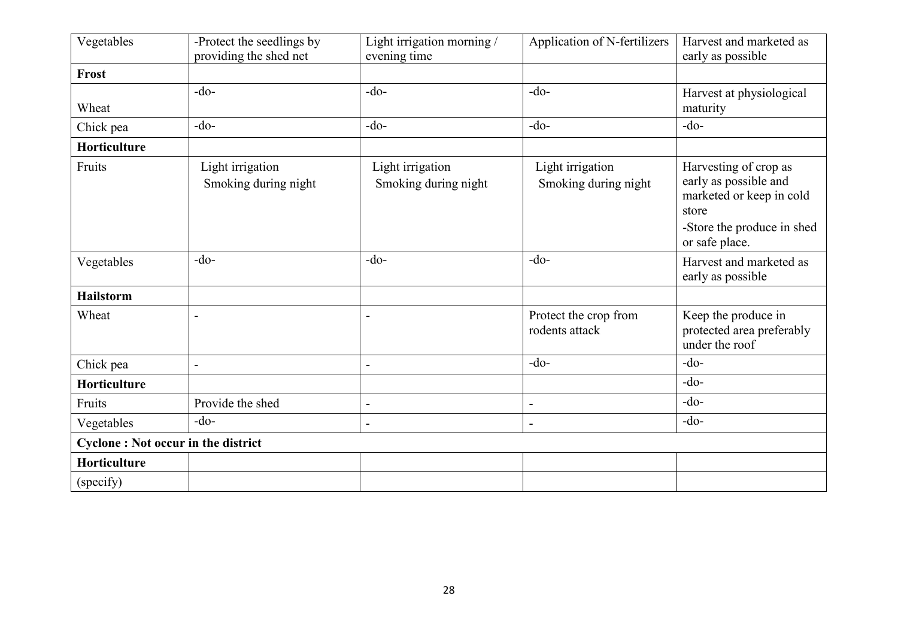| Vegetables       | -Protect the seedlings by<br>providing the shed net | Light irrigation morning /<br>evening time | Application of N-fertilizers             | Harvest and marketed as<br>early as possible                                                                                        |
|------------------|-----------------------------------------------------|--------------------------------------------|------------------------------------------|-------------------------------------------------------------------------------------------------------------------------------------|
| Frost            |                                                     |                                            |                                          |                                                                                                                                     |
| Wheat            | $-do-$                                              | $-do-$                                     | $-do-$                                   | Harvest at physiological<br>maturity                                                                                                |
| Chick pea        | $-do-$                                              | $-do-$                                     | $-do-$                                   | $-do-$                                                                                                                              |
| Horticulture     |                                                     |                                            |                                          |                                                                                                                                     |
| Fruits           | Light irrigation<br>Smoking during night            | Light irrigation<br>Smoking during night   | Light irrigation<br>Smoking during night | Harvesting of crop as<br>early as possible and<br>marketed or keep in cold<br>store<br>-Store the produce in shed<br>or safe place. |
| Vegetables       | $-do-$                                              | $-do-$                                     | $-do-$                                   | Harvest and marketed as<br>early as possible                                                                                        |
| <b>Hailstorm</b> |                                                     |                                            |                                          |                                                                                                                                     |
| Wheat            | $\blacksquare$                                      | $\blacksquare$                             | Protect the crop from<br>rodents attack  | Keep the produce in<br>protected area preferably<br>under the roof                                                                  |
| Chick pea        | $\overline{\phantom{a}}$                            | $\blacksquare$                             | $-do-$                                   | $-do-$                                                                                                                              |
| Horticulture     |                                                     |                                            |                                          | $-do-$                                                                                                                              |
| Fruits           | Provide the shed                                    | $\overline{a}$                             | $\blacksquare$                           | $-do-$                                                                                                                              |
| Vegetables       | $-do-$                                              | $\overline{a}$                             | $\overline{\phantom{a}}$                 | $-do-$                                                                                                                              |
|                  | <b>Cyclone: Not occur in the district</b>           |                                            |                                          |                                                                                                                                     |
| Horticulture     |                                                     |                                            |                                          |                                                                                                                                     |
| (specify)        |                                                     |                                            |                                          |                                                                                                                                     |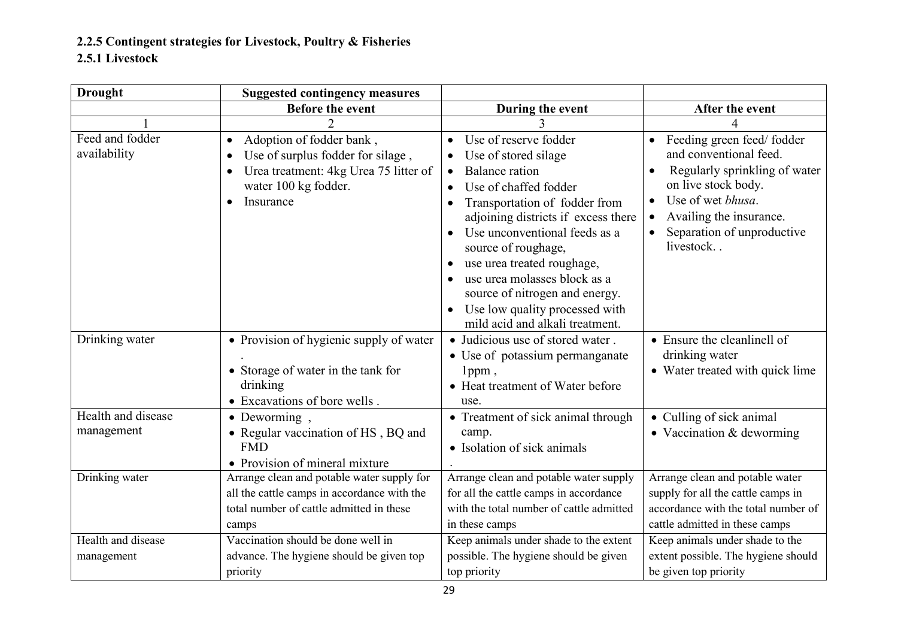2.2.5 Contingent strategies for Livestock, Poultry & Fisheries

## 2.5.1 Livestock

| <b>Drought</b>                   | <b>Suggested contingency measures</b>                                                                                                                    |                                                                                                                                                                                                                                                                                                                                                                                                                                                                                                              |                                                                                                                                                                                                                                               |
|----------------------------------|----------------------------------------------------------------------------------------------------------------------------------------------------------|--------------------------------------------------------------------------------------------------------------------------------------------------------------------------------------------------------------------------------------------------------------------------------------------------------------------------------------------------------------------------------------------------------------------------------------------------------------------------------------------------------------|-----------------------------------------------------------------------------------------------------------------------------------------------------------------------------------------------------------------------------------------------|
|                                  | <b>Before the event</b>                                                                                                                                  | During the event                                                                                                                                                                                                                                                                                                                                                                                                                                                                                             | After the event                                                                                                                                                                                                                               |
|                                  |                                                                                                                                                          |                                                                                                                                                                                                                                                                                                                                                                                                                                                                                                              |                                                                                                                                                                                                                                               |
| Feed and fodder<br>availability  | Adoption of fodder bank,<br>Use of surplus fodder for silage,<br>Urea treatment: 4kg Urea 75 litter of<br>$\bullet$<br>water 100 kg fodder.<br>Insurance | Use of reserve fodder<br>$\bullet$<br>Use of stored silage<br>$\bullet$<br><b>Balance</b> ration<br>$\bullet$<br>Use of chaffed fodder<br>$\bullet$<br>Transportation of fodder from<br>$\bullet$<br>adjoining districts if excess there<br>Use unconventional feeds as a<br>$\bullet$<br>source of roughage,<br>use urea treated roughage,<br>$\bullet$<br>use urea molasses block as a<br>$\bullet$<br>source of nitrogen and energy.<br>Use low quality processed with<br>mild acid and alkali treatment. | Feeding green feed/fodder<br>$\bullet$<br>and conventional feed.<br>Regularly sprinkling of water<br>on live stock body.<br>Use of wet bhusa.<br>$\bullet$<br>Availing the insurance.<br>$\bullet$<br>Separation of unproductive<br>livestock |
| Drinking water                   | • Provision of hygienic supply of water<br>• Storage of water in the tank for<br>drinking<br>• Excavations of bore wells.                                | • Judicious use of stored water.<br>• Use of potassium permanganate<br>$1$ ppm,<br>• Heat treatment of Water before<br>use.                                                                                                                                                                                                                                                                                                                                                                                  | • Ensure the cleanlinell of<br>drinking water<br>• Water treated with quick lime                                                                                                                                                              |
| Health and disease<br>management | • Deworming,<br>• Regular vaccination of HS, BQ and<br><b>FMD</b><br>• Provision of mineral mixture                                                      | • Treatment of sick animal through<br>camp.<br>• Isolation of sick animals                                                                                                                                                                                                                                                                                                                                                                                                                                   | • Culling of sick animal<br>$\bullet$ Vaccination & deworming                                                                                                                                                                                 |
| Drinking water                   | Arrange clean and potable water supply for<br>all the cattle camps in accordance with the<br>total number of cattle admitted in these<br>camps           | Arrange clean and potable water supply<br>for all the cattle camps in accordance<br>with the total number of cattle admitted<br>in these camps                                                                                                                                                                                                                                                                                                                                                               | Arrange clean and potable water<br>supply for all the cattle camps in<br>accordance with the total number of<br>cattle admitted in these camps                                                                                                |
| Health and disease<br>management | Vaccination should be done well in<br>advance. The hygiene should be given top<br>priority                                                               | Keep animals under shade to the extent<br>possible. The hygiene should be given<br>top priority                                                                                                                                                                                                                                                                                                                                                                                                              | Keep animals under shade to the<br>extent possible. The hygiene should<br>be given top priority                                                                                                                                               |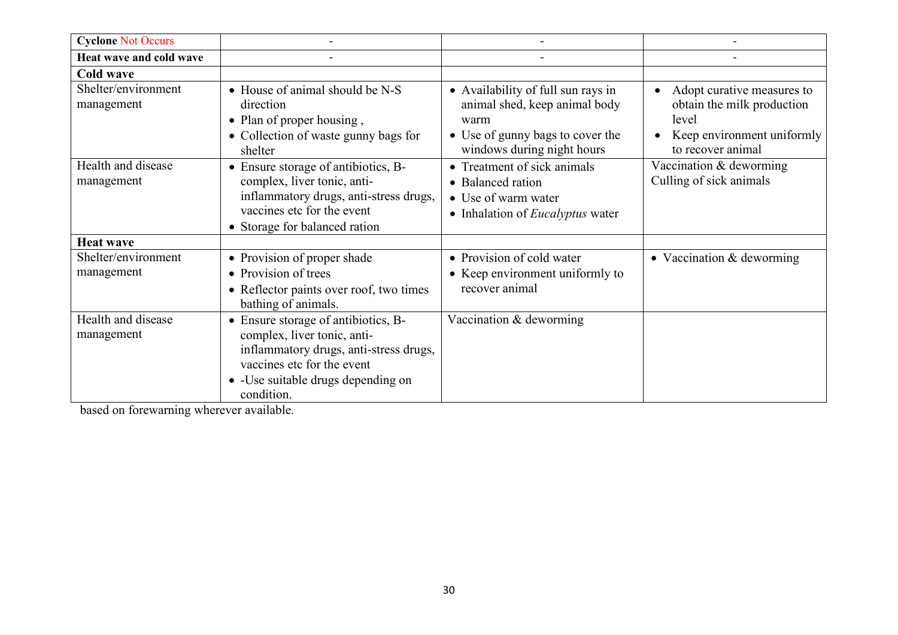| <b>Cyclone Not Occurs</b>         |                                                                                                                                                                                                 |                                                                                                                                               |                                                                                                                      |
|-----------------------------------|-------------------------------------------------------------------------------------------------------------------------------------------------------------------------------------------------|-----------------------------------------------------------------------------------------------------------------------------------------------|----------------------------------------------------------------------------------------------------------------------|
| Heat wave and cold wave           |                                                                                                                                                                                                 |                                                                                                                                               |                                                                                                                      |
| <b>Cold wave</b>                  |                                                                                                                                                                                                 |                                                                                                                                               |                                                                                                                      |
| Shelter/environment<br>management | • House of animal should be N-S<br>direction<br>• Plan of proper housing,<br>• Collection of waste gunny bags for<br>shelter                                                                    | • Availability of full sun rays in<br>animal shed, keep animal body<br>warm<br>• Use of gunny bags to cover the<br>windows during night hours | Adopt curative measures to<br>obtain the milk production<br>level<br>Keep environment uniformly<br>to recover animal |
| Health and disease<br>management  | • Ensure storage of antibiotics, B-<br>complex, liver tonic, anti-<br>inflammatory drugs, anti-stress drugs,<br>vaccines etc for the event<br>• Storage for balanced ration                     | • Treatment of sick animals<br>• Balanced ration<br>• Use of warm water<br>• Inhalation of <i>Eucalyptus</i> water                            | Vaccination & deworming<br>Culling of sick animals                                                                   |
| <b>Heat wave</b>                  |                                                                                                                                                                                                 |                                                                                                                                               |                                                                                                                      |
| Shelter/environment<br>management | • Provision of proper shade<br>• Provision of trees<br>• Reflector paints over roof, two times<br>bathing of animals.                                                                           | • Provision of cold water<br>• Keep environment uniformly to<br>recover animal                                                                | • Vaccination $&$ deworming                                                                                          |
| Health and disease<br>management  | • Ensure storage of antibiotics, B-<br>complex, liver tonic, anti-<br>inflammatory drugs, anti-stress drugs,<br>vaccines etc for the event<br>• - Use suitable drugs depending on<br>condition. | Vaccination & deworming                                                                                                                       |                                                                                                                      |

based on forewarning wherever available.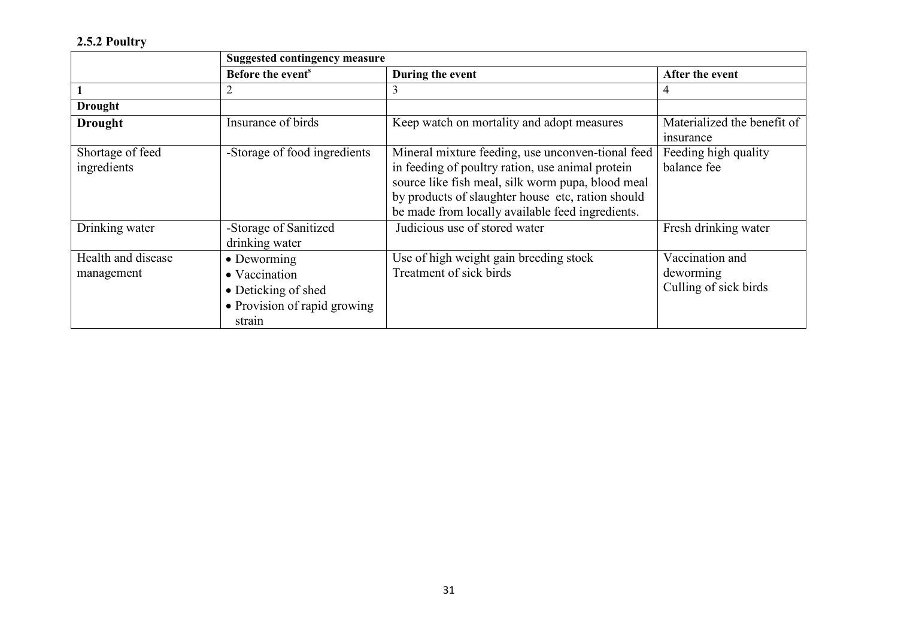### 2.5.2 Poultry

|                                  | <b>Suggested contingency measure</b>                                                          |                                                                                                                                                                                                                                                                     |                                                       |
|----------------------------------|-----------------------------------------------------------------------------------------------|---------------------------------------------------------------------------------------------------------------------------------------------------------------------------------------------------------------------------------------------------------------------|-------------------------------------------------------|
|                                  | Before the event <sup>s</sup>                                                                 | During the event                                                                                                                                                                                                                                                    | After the event                                       |
|                                  | 2                                                                                             | 3                                                                                                                                                                                                                                                                   | 4                                                     |
| <b>Drought</b>                   |                                                                                               |                                                                                                                                                                                                                                                                     |                                                       |
| <b>Drought</b>                   | Insurance of birds                                                                            | Keep watch on mortality and adopt measures                                                                                                                                                                                                                          | Materialized the benefit of<br><i>nsurance</i>        |
| Shortage of feed<br>ingredients  | -Storage of food ingredients                                                                  | Mineral mixture feeding, use unconven-tional feed<br>in feeding of poultry ration, use animal protein<br>source like fish meal, silk worm pupa, blood meal<br>by products of slaughter house etc, ration should<br>be made from locally available feed ingredients. | Feeding high quality<br>balance fee                   |
| Drinking water                   | -Storage of Sanitized<br>drinking water                                                       | Judicious use of stored water                                                                                                                                                                                                                                       | Fresh drinking water                                  |
| Health and disease<br>management | • Deworming<br>• Vaccination<br>• Deticking of shed<br>• Provision of rapid growing<br>strain | Use of high weight gain breeding stock<br>Treatment of sick birds                                                                                                                                                                                                   | Vaccination and<br>deworming<br>Culling of sick birds |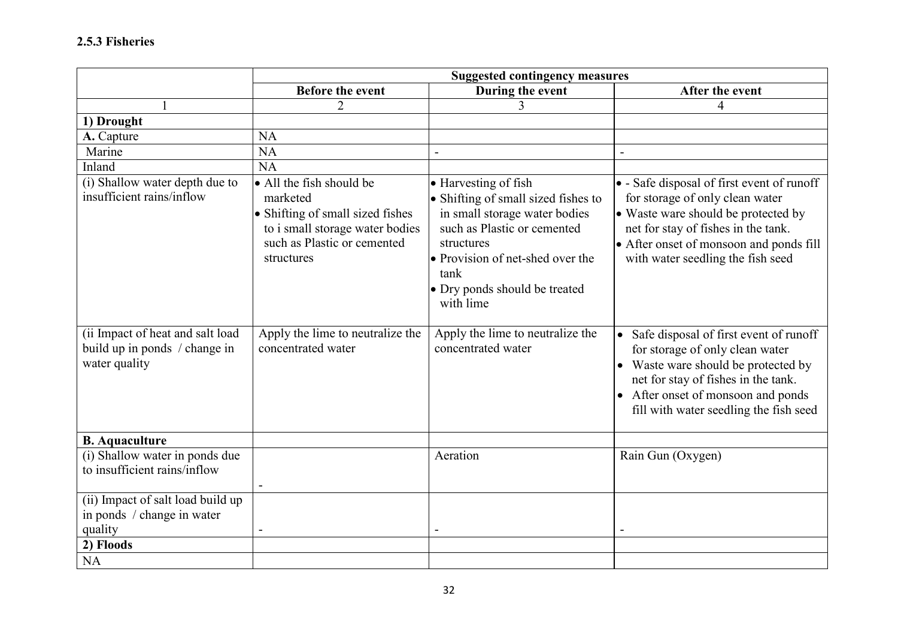|                                                                                    | <b>Suggested contingency measures</b>                                                                                                                    |                                                                                                                                                                                                                                     |                                                                                                                                                                                                                                             |
|------------------------------------------------------------------------------------|----------------------------------------------------------------------------------------------------------------------------------------------------------|-------------------------------------------------------------------------------------------------------------------------------------------------------------------------------------------------------------------------------------|---------------------------------------------------------------------------------------------------------------------------------------------------------------------------------------------------------------------------------------------|
|                                                                                    | <b>Before the event</b>                                                                                                                                  | During the event                                                                                                                                                                                                                    | After the event                                                                                                                                                                                                                             |
|                                                                                    | $\overline{2}$                                                                                                                                           | 3                                                                                                                                                                                                                                   | 4                                                                                                                                                                                                                                           |
| 1) Drought                                                                         |                                                                                                                                                          |                                                                                                                                                                                                                                     |                                                                                                                                                                                                                                             |
| A. Capture                                                                         | <b>NA</b>                                                                                                                                                |                                                                                                                                                                                                                                     |                                                                                                                                                                                                                                             |
| Marine                                                                             | <b>NA</b>                                                                                                                                                |                                                                                                                                                                                                                                     | $\overline{a}$                                                                                                                                                                                                                              |
| Inland                                                                             | <b>NA</b>                                                                                                                                                |                                                                                                                                                                                                                                     |                                                                                                                                                                                                                                             |
| (i) Shallow water depth due to<br>insufficient rains/inflow                        | • All the fish should be<br>marketed<br>• Shifting of small sized fishes<br>to i small storage water bodies<br>such as Plastic or cemented<br>structures | • Harvesting of fish<br>• Shifting of small sized fishes to<br>in small storage water bodies<br>such as Plastic or cemented<br>structures<br>• Provision of net-shed over the<br>tank<br>• Dry ponds should be treated<br>with lime | • - Safe disposal of first event of runoff<br>for storage of only clean water<br>• Waste ware should be protected by<br>net for stay of fishes in the tank.<br>• After onset of monsoon and ponds fill<br>with water seedling the fish seed |
| (ii Impact of heat and salt load<br>build up in ponds / change in<br>water quality | Apply the lime to neutralize the<br>concentrated water                                                                                                   | Apply the lime to neutralize the<br>concentrated water                                                                                                                                                                              | • Safe disposal of first event of runoff<br>for storage of only clean water<br>• Waste ware should be protected by<br>net for stay of fishes in the tank.<br>• After onset of monsoon and ponds<br>fill with water seedling the fish seed   |
| <b>B.</b> Aquaculture                                                              |                                                                                                                                                          |                                                                                                                                                                                                                                     |                                                                                                                                                                                                                                             |
| (i) Shallow water in ponds due<br>to insufficient rains/inflow                     | $\blacksquare$                                                                                                                                           | Aeration                                                                                                                                                                                                                            | Rain Gun (Oxygen)                                                                                                                                                                                                                           |
| (ii) Impact of salt load build up<br>in ponds / change in water<br>quality         |                                                                                                                                                          |                                                                                                                                                                                                                                     |                                                                                                                                                                                                                                             |
| 2) Floods                                                                          |                                                                                                                                                          |                                                                                                                                                                                                                                     |                                                                                                                                                                                                                                             |
| <b>NA</b>                                                                          |                                                                                                                                                          |                                                                                                                                                                                                                                     |                                                                                                                                                                                                                                             |